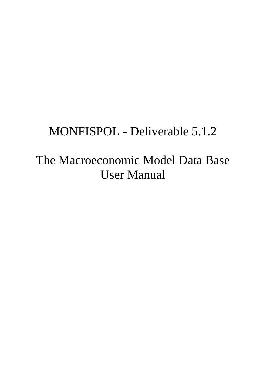# MONFISPOL - Deliverable 5.1.2

The Macroeconomic Model Data Base User Manual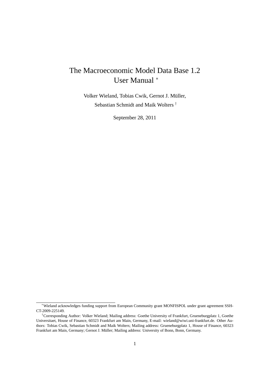# The Macroeconomic Model Data Base 1.2 User Manual <sup>∗</sup>

Volker Wieland, Tobias Cwik, Gernot J. Müller, Sebastian Schmidt and Maik Wolters †

September 28, 2011

<sup>∗</sup>Wieland acknowledges funding support from European Community grant MONFISPOL under grant agreement SSH-CT-2009-225149.

<sup>†</sup>Corresponding Author: Volker Wieland; Mailing address: Goethe University of Frankfurt, Grueneburgplatz 1, Goethe Universitaet, House of Finance, 60323 Frankfurt am Main, Germany, E-mail: wieland@wiwi.uni-frankfurt.de. Other Authors: Tobias Cwik, Sebastian Schmidt and Maik Wolters; Mailing address: Grueneburgplatz 1, House of Finance, 60323 Frankfurt am Main, Germany; Gernot J. Müller; Mailing address: University of Bonn, Bonn, Germany.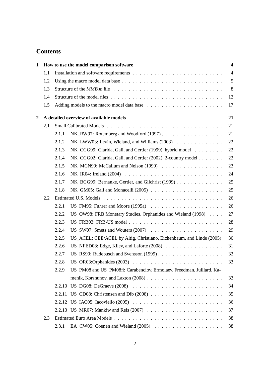# **Contents**

| $\mathbf{1}$   |     |                                         | How to use the model comparison software                                                                     | $\overline{\mathbf{4}}$ |
|----------------|-----|-----------------------------------------|--------------------------------------------------------------------------------------------------------------|-------------------------|
|                | 1.1 |                                         |                                                                                                              | $\overline{4}$          |
|                | 1.2 |                                         | Using the macro model data base $\dots \dots \dots \dots \dots \dots \dots \dots \dots \dots \dots \dots$    | 5                       |
|                | 1.3 |                                         | Structure of the $MMB.m$ file $\ldots \ldots \ldots \ldots \ldots \ldots \ldots \ldots \ldots \ldots \ldots$ | 8                       |
|                | 1.4 |                                         |                                                                                                              | 12                      |
|                | 1.5 |                                         |                                                                                                              | 17                      |
| $\overline{2}$ |     | A detailed overview of available models |                                                                                                              |                         |
|                | 2.1 |                                         |                                                                                                              | 21                      |
|                |     | 2.1.1                                   | NK_RW97: Rotemberg and Woodford (1997)                                                                       | 21                      |
|                |     | 2.1.2                                   | $NK_LWW03$ : Levin, Wieland, and Williams (2003) $\ldots \ldots \ldots \ldots$                               | 22                      |
|                |     | 2.1.3                                   | NK_CGG99: Clarida, Gali, and Gertler (1999), hybrid model                                                    | 22                      |
|                |     | 2.1.4                                   | NK_CGG02: Clarida, Gali, and Gertler (2002), 2-country model                                                 | 22                      |
|                |     | 2.1.5                                   |                                                                                                              | 23                      |
|                |     | 2.1.6                                   |                                                                                                              | 24                      |
|                |     | 2.1.7                                   | NK BGG99: Bernanke, Gertler, and Gilchrist (1999)                                                            | 25                      |
|                |     | 2.1.8                                   |                                                                                                              | 25                      |
|                | 2.2 |                                         |                                                                                                              | 26                      |
|                |     | 2.2.1                                   |                                                                                                              | 26                      |
|                |     | 2.2.2                                   | US_OW98: FRB Monetary Studies, Orphanides and Wieland (1998)                                                 | 27                      |
|                |     | 2.2.3                                   |                                                                                                              | 28                      |
|                |     | 2.2.4                                   |                                                                                                              | 29                      |
|                |     | 2.2.5                                   | US_ACEL: CEE/ACEL by Altig, Christiano, Eichenbaum, and Linde (2005)                                         | 30                      |
|                |     | 2.2.6                                   | US_NFED08: Edge, Kiley, and Laforte (2008)                                                                   | 31                      |
|                |     | 2.2.7                                   |                                                                                                              | 32                      |
|                |     | 2.2.8                                   |                                                                                                              | 33                      |
|                |     | 2.2.9                                   | US_PM08 and US_PM08fl: Carabenciov, Ermolaev, Freedman, Juillard, Ka-                                        |                         |
|                |     |                                         |                                                                                                              | 33                      |
|                |     | 2.2.10                                  |                                                                                                              | 34                      |
|                |     | 2.2.11                                  |                                                                                                              | 35                      |
|                |     | 2.2.12                                  |                                                                                                              | 36                      |
|                |     |                                         |                                                                                                              | 37                      |
|                | 2.3 |                                         |                                                                                                              | 38                      |
|                |     | 2.3.1                                   |                                                                                                              | 38                      |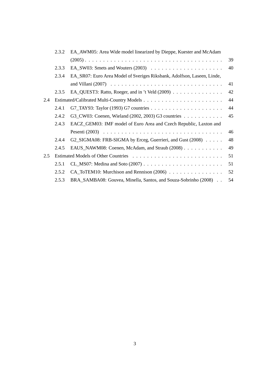|     | 2.3.2 | EA_AWM05: Area Wide model linearized by Dieppe, Kuester and McAdam                                   |    |
|-----|-------|------------------------------------------------------------------------------------------------------|----|
|     |       |                                                                                                      | 39 |
|     | 2.3.3 |                                                                                                      | 40 |
|     | 2.3.4 | EA_SR07: Euro Area Model of Sveriges Riksbank, Adolfson, Laseen, Linde,                              |    |
|     |       |                                                                                                      | 41 |
|     | 2.3.5 |                                                                                                      | 42 |
| 2.4 |       |                                                                                                      | 44 |
|     | 2.4.1 |                                                                                                      | 44 |
|     | 2.4.2 | G3_CW03: Coenen, Wieland (2002, 2003) G3 countries                                                   | 45 |
|     | 2.4.3 | EACZ_GEM03: IMF model of Euro Area and Czech Republic, Laxton and                                    |    |
|     |       | Pesenti (2003) $\ldots \ldots \ldots \ldots \ldots \ldots \ldots \ldots \ldots \ldots \ldots \ldots$ | 46 |
|     | 2.4.4 | G2_SIGMA08: FRB-SIGMA by Erceg, Guerrieri, and Gust (2008)                                           | 48 |
|     | 2.4.5 | EAUS_NAWM08: Coenen, McAdam, and Straub (2008)                                                       | 49 |
| 2.5 |       |                                                                                                      | 51 |
|     | 2.5.1 |                                                                                                      | 51 |
|     | 2.5.2 |                                                                                                      | 52 |
|     | 2.5.3 | BRA_SAMBA08: Gouvea, Minella, Santos, and Souza-Sobrinho (2008).                                     | 54 |
|     |       |                                                                                                      |    |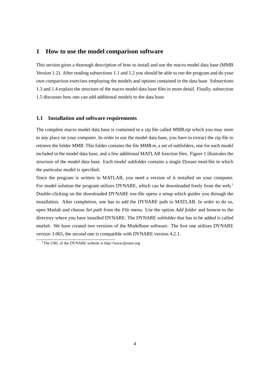## **1 How to use the model comparison software**

This section gives a thorough description of how to install and use the macro model data base (MMB Version 1.2). After reading subsections 1.1 and 1.2 you should be able to run the program and do your own comparison exercises employing the models and options contained in the data base. Subsections 1.3 and 1.4 explain the structure of the macro model data base files in more detail. Finally, subsection 1.5 discusses how one can add additional models to the data base.

#### **1.1 Installation and software requirements**

The complete macro model data base is contained in a zip file called *MMB.zip* which you may store to any place on your computer. In order to use the model data base, you have to extract the zip file to retrieve the folder *MMB*. This folder contains the file *MMB.m*, a set of subfolders, one for each model included in the model data base, and a few additional MATLAB function files. Figure 1 illustrates the structure of the model data base. Each model subfolder contains a single Dynare mod-file in which the particular model is specified.

Since the program is written in MATLAB, you need a version of it installed on your computer. For model solution the program utilizes DYNARE, which can be downloaded freely from the web.<sup>1</sup> Double-clicking on the downloaded DYNARE exe-file opens a setup which guides you through the installation. After completion, one has to add the DYNARE path to MATLAB. In order to do so, open Matlab and choose *Set path* from the *File* menu. Use the option *Add folder* and browse to the directory where you have installed DYNARE. The DYNARE subfolder that has to be added is called *matlab*. We have created two versions of the Modelbase software. The first one utilizes DYNARE version 3.065, the second one is compatible with DYNARE version 4.2.1.

<sup>1</sup>The URL of the DYNARE website is *http://www.dynare.org*.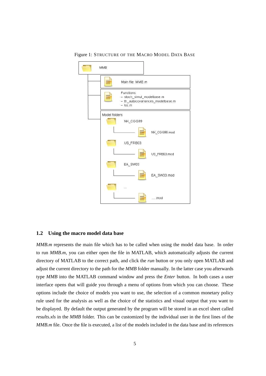

Figure 1: STRUCTURE OF THE MACRO MODEL DATA BASE

#### **1.2 Using the macro model data base**

*MMB.m* represents the main file which has to be called when using the model data base. In order to run *MMB.m*, you can either open the file in MATLAB, which automatically adjusts the current directory of MATLAB to the correct path, and click the *run* button or you only open MATLAB and adjust the current directory to the path for the *MMB* folder manually. In the latter case you afterwards type *MMB* into the MATLAB command window and press the *Enter* button. In both cases a user interface opens that will guide you through a menu of options from which you can choose. These options include the choice of models you want to use, the selection of a common monetary policy rule used for the analysis as well as the choice of the statistics and visual output that you want to be displayed. By default the output generated by the program will be stored in an excel sheet called *results.xls* in the *MMB* folder. This can be customized by the individual user in the first lines of the *MMB.m* file. Once the file is executed, a list of the models included in the data base and its references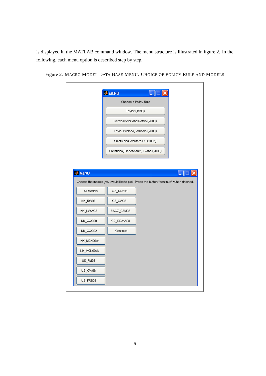is displayed in the MATLAB command window. The menu structure is illustrated in figure 2. In the following, each menu option is described step by step.

|                       | Choose a Policy Rule                                                                 |
|-----------------------|--------------------------------------------------------------------------------------|
|                       |                                                                                      |
|                       | Taylor (1993)                                                                        |
|                       | Gerdesmeier and Roffia (2003)                                                        |
|                       | Levin, Wieland, Williams (2003)                                                      |
|                       | Smets and Wouters US (2007)                                                          |
|                       | Christiano, Eichenbaum, Evans (2005)                                                 |
|                       | Choose the models you would like to pick. Press the button "continue" when finished. |
|                       |                                                                                      |
| All Models<br>NK_RW97 | G7_TAY93<br>G3_CW03                                                                  |
| NK_LWW03              | EACZ_GEM03                                                                           |
| NK_CGG99              | G2_SIGMA08                                                                           |
| NK_CGG02              | Continue                                                                             |
| NK_MCN99cr            |                                                                                      |
| NK_MCN99pb            |                                                                                      |
| US_FM95               |                                                                                      |
| US_OW98               |                                                                                      |

Figure 2: MACRO MODEL DATA BASE MENU: CHOICE OF POLICY RULE AND MODELS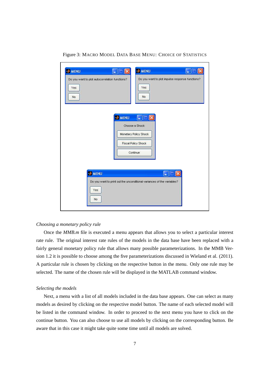| Do you want to plot autocorrelation functions?<br>Yes.<br>No. | Do you want to plot impulse response functions?<br>Yes<br>No                                            |  |
|---------------------------------------------------------------|---------------------------------------------------------------------------------------------------------|--|
|                                                               | <b>AMENU</b><br>×<br>Choose a Shock:<br>Monetary Policy Shock<br><b>Fiscal Policy Shock</b><br>Continue |  |
| <b>AMENU</b><br>Yes                                           | r.<br>Do you want to print out the unconditional variances of the variables?                            |  |

Figure 3: MACRO MODEL DATA BASE MENU: CHOICE OF STATISTICS

#### *Choosing a monetary policy rule*

Once the *MMB.m* file is executed a menu appears that allows you to select a particular interest rate rule. The original interest rate rules of the models in the data base have been replaced with a fairly general monetary policy rule that allows many possible parameterizations. In the MMB Version 1.2 it is possible to choose among the five parameterizations discussed in Wieland et al. (2011). A particular rule is chosen by clicking on the respective button in the menu. Only one rule may be selected. The name of the chosen rule will be displayed in the MATLAB command window.

#### *Selecting the models*

Next, a menu with a list of all models included in the data base appears. One can select as many models as desired by clicking on the respective model button. The name of each selected model will be listed in the command window. In order to proceed to the next menu you have to click on the continue button. You can also choose to use all models by clicking on the corresponding button. Be aware that in this case it might take quite some time until all models are solved.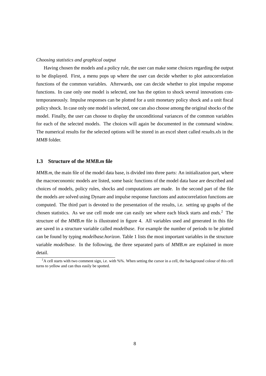#### *Choosing statistics and graphical output*

Having chosen the models and a policy rule, the user can make some choices regarding the output to be displayed. First, a menu pops up where the user can decide whether to plot autocorrelation functions of the common variables. Afterwards, one can decide whether to plot impulse response functions. In case only one model is selected, one has the option to shock several innovations contemporaneously. Impulse responses can be plotted for a unit monetary policy shock and a unit fiscal policy shock. In case only one model is selected, one can also choose among the original shocks of the model. Finally, the user can choose to display the unconditional variances of the common variables for each of the selected models. The choices will again be documented in the command window. The numerical results for the selected options will be stored in an excel sheet called *results.xls* in the *MMB* folder.

#### **1.3 Structure of the** *MMB.m* **file**

*MMB.m*, the main file of the model data base, is divided into three parts: An initialization part, where the macroeconomic models are listed, some basic functions of the model data base are described and choices of models, policy rules, shocks and computations are made. In the second part of the file the models are solved using Dynare and impulse response functions and autocorrelation functions are computed. The third part is devoted to the presentation of the results, i.e. setting up graphs of the chosen statistics. As we use cell mode one can easily see where each block starts and ends.<sup>2</sup> The structure of the *MMB.m* file is illustrated in figure 4. All variables used and generated in this file are saved in a structure variable called *modelbase*. For example the number of periods to be plotted can be found by typing *modelbase.horizon*. Table 1 lists the most important variables in the structure variable *modelbase*. In the following, the three separated parts of *MMB.m* are explained in more detail.

<sup>&</sup>lt;sup>2</sup>A cell starts with two comment sign, i.e. with %%. When setting the cursor in a cell, the background colour of this cell turns to yellow and can thus easily be spotted.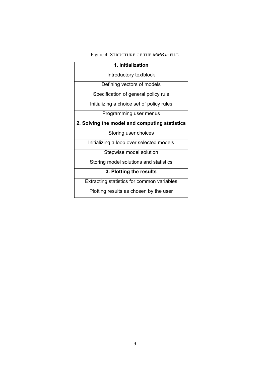# Figure 4: STRUCTURE OF THE *MMB.m* FILE

| 1. Initialization                             |  |  |
|-----------------------------------------------|--|--|
| Introductory textblock                        |  |  |
| Defining vectors of models                    |  |  |
| Specification of general policy rule          |  |  |
| Initializing a choice set of policy rules     |  |  |
| Programming user menus                        |  |  |
| 2. Solving the model and computing statistics |  |  |
| Storing user choices                          |  |  |
| Initializing a loop over selected models      |  |  |
| Stepwise model solution                       |  |  |
| Storing model solutions and statistics        |  |  |
| 3. Plotting the results                       |  |  |
| Extracting statistics for common variables    |  |  |
| Plotting results as chosen by the user        |  |  |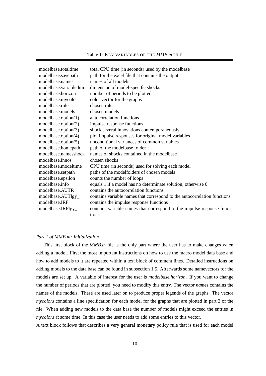| modelbase.totaltime   | total CPU time (in seconds) used by the modelbase                        |
|-----------------------|--------------------------------------------------------------------------|
| modelbase.savepath    | path for the excel file that contains the output                         |
| modelbase.names       | names of all models                                                      |
| modelbase.variabledim | dimension of model-specific shocks                                       |
| modelbase.horizon     | number of periods to be plotted                                          |
| modelbase.mycolor     | color vector for the graphs                                              |
| modelbase.rule        | chosen rule                                                              |
| modelbase.models      | chosen models                                                            |
| modelbase.option(1)   | autocorrelation functions                                                |
| modelbase.option(2)   | impulse response functions                                               |
| modelbase.option(3)   | shock several innovations contemporaneously                              |
| modelbase.option(4)   | plot impulse responses for original model variables                      |
| modelbase.option(5)   | unconditional variances of common variables                              |
| modelbase.homepath    | path of the modelbase folder                                             |
| modelbase.namesshock  | names of shocks contained in the modelbase                               |
| modelbase.innos       | chosen shocks                                                            |
| modelbase.modeltime   | CPU time (in seconds) used for solving each model                        |
| modelbase.setpath     | paths of the modelfolders of chosen models                               |
| modelbase.epsilon     | counts the number of loops                                               |
| modelbase.info        | equals 1 if a model has no determinate solution; otherwise 0             |
| modelbase.AUTR        | contains the autocorrelation functions                                   |
| modelbase.AUTlgy_     | contains variable names that correspond to the autocorrelation functions |
| modelbase.IRF         | contains the impulse response functions                                  |
| modelbase.IRFlgy_     | contains variable names that correspond to the impulse response func-    |
|                       | tions                                                                    |
|                       |                                                                          |

#### *Part 1 of MMB.m: Initialization*

This first block of the *MMB.m* file is the only part where the user has to make changes when adding a model. First the most important instructions on how to use the macro model data base and how to add models to it are repeated within a text block of comment lines. Detailed instructions on adding models to the data base can be found in subsection 1.5. Afterwards some namevectors for the models are set up. A variable of interest for the user is *modelbase.horizon*. If you want to change the number of periods that are plotted, you need to modify this entry. The vector *names* contains the names of the models. These are used later on to produce proper legends of the graphs. The vector *mycolors* contains a line specification for each model for the graphs that are plotted in part 3 of the file. When adding new models to the data base the number of models might exceed the entries in *mycolors* at some time. In this case the user needs to add some entries to this vector.

A text block follows that describes a very general monetary policy rule that is used for each model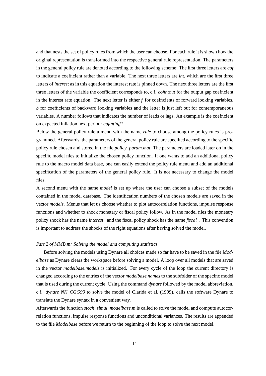and that nests the set of policy rules from which the user can choose. For each rule it is shown how the original representation is transformed into the respective general rule representation. The parameters in the general policy rule are denoted according to the following scheme: The first three letters are *cof* to indicate a coefficient rather than a variable. The next three letters are *int*, which are the first three letters of *interest* as in this equation the interest rate is pinned down. The next three letters are the first three letters of the variable the coefficient corresponds to, c.f. *cofintout* for the output gap coefficient in the interest rate equation. The next letter is either *f* for coefficients of forward looking variables, *b* for coefficients of backward looking variables and the letter is just left out for contemporaneous variables. A number follows that indicates the number of leads or lags. An example is the coefficient on expected inflation next period: *cofintinff1*.

Below the general policy rule a menu with the name *rule* to choose among the policy rules is programmed. Afterwards, the parameters of the general policy rule are specified according to the specific policy rule chosen and stored in the file *policy\_param.mat*. The parameters are loaded later on in the specific model files to initialize the chosen policy function. If one wants to add an additional policy rule to the macro model data base, one can easily extend the policy rule menu and add an additional specification of the parameters of the general policy rule. It is not necessary to change the model files.

A second menu with the name *model* is set up where the user can choose a subset of the models contained in the model database. The identification numbers of the chosen models are saved in the vector *models*. Menus that let us choose whether to plot autocorrelation functions, impulse response functions and whether to shock monetary or fiscal policy follow. As in the model files the monetary policy shock has the name *interest\_* and the fiscal policy shock has the name *fiscal\_*. This convention is important to address the shocks of the right equations after having solved the model.

#### *Part 2 of MMB.m: Solving the model and computing statistics*

Before solving the models using Dynare all choices made so far have to be saved in the file *Modelbase* as Dynare clears the workspace before solving a model. A loop over all models that are saved in the vector *modelbase.models* is initialized. For every cycle of the loop the current directory is changed according to the entries of the vector *modelbase.names* to the subfolder of the specific model that is used during the current cycle. Using the command *dynare* followed by the model abbreviation, c.f. *dynare NK\_CGG99* to solve the model of Clarida et al. (1999), calls the software Dynare to translate the Dynare syntax in a convenient way.

Afterwards the function *stoch\_simul\_modelbase.m* is called to solve the model and compute autocorrelation functions, impulse response functions and unconditional variances. The results are appended to the file *Modelbase* before we return to the beginning of the loop to solve the next model.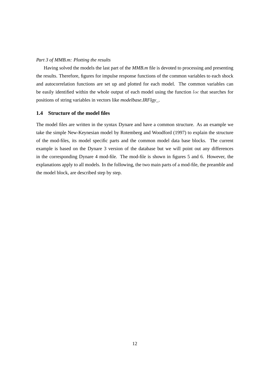#### *Part 3 of MMB.m: Plotting the results*

Having solved the models the last part of the *MMB.m* file is devoted to processing and presenting the results. Therefore, figures for impulse response functions of the common variables to each shock and autocorrelation functions are set up and plotted for each model. The common variables can be easily identified within the whole output of each model using the function loc that searches for positions of string variables in vectors like *modelbase.IRFlgy\_*.

#### **1.4 Structure of the model files**

The model files are written in the syntax Dynare and have a common structure. As an example we take the simple New-Keynesian model by Rotemberg and Woodford (1997) to explain the structure of the mod-files, its model specific parts and the common model data base blocks. The current example is based on the Dynare 3 version of the database but we will point out any differences in the corresponding Dynare 4 mod-file. The mod-file is shown in figures 5 and 6. However, the explanations apply to all models. In the following, the two main parts of a mod-file, the preamble and the model block, are described step by step.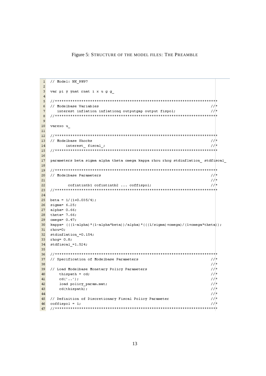Figure 5: STRUCTURE OF THE MODEL FILES: THE PREAMBLE

```
\mathbf{1}// Model: NK RW97
\overline{a}\overline{3}var pi y ynat rnat i x u g g
 \overline{4}\frac{1}{1} , \frac{1}{1} , \frac{1}{1} , \frac{1}{1} , \frac{1}{1} , \frac{1}{1} , \frac{1}{1} , \frac{1}{1} , \frac{1}{1} , \frac{1}{1} , \frac{1}{1} , \frac{1}{1} , \frac{1}{1} , \frac{1}{1} , \frac{1}{1} , \frac{1}{1} , \frac{1}{1} , \frac{1}{1} , \frac{1\overline{5}77*6\overline{6}// Modelbase Variables
 \overline{7}77*interest inflation inflationq outputgap output fispol;
    \mathbf{a}\overline{q}10<sup>1</sup>varexo u
11\frac{1}{\sqrt{5}} , \frac{1}{2} , \frac{1}{2} , \frac{1}{2} , \frac{1}{2} , \frac{1}{2} , \frac{1}{2} , \frac{1}{2} , \frac{1}{2} , \frac{1}{2} , \frac{1}{2} , \frac{1}{2} , \frac{1}{2} , \frac{1}{2} , \frac{1}{2} , \frac{1}{2} , \frac{1}{2} , \frac{1}{2} , \1213<sup>°</sup>// Modelbase Shocks
                                                                                         77*14interest fiscal ;
                                                                                         77*151617
    parameters beta sigma alpha theta omega kappa rhou rhog stdinflation stdfiscal
18\frac{1}{\sqrt{5}} , \frac{1}{2} , \frac{1}{2} , \frac{1}{2} , \frac{1}{2} , \frac{1}{2} , \frac{1}{2} , \frac{1}{2} , \frac{1}{2} , \frac{1}{2} , \frac{1}{2} , \frac{1}{2} , \frac{1}{2} , \frac{1}{2} , \frac{1}{2} , \frac{1}{2} , \frac{1}{2} , \frac{1}{2} , \19
                                                                                          77 \star20<sub>2</sub>// Modelbase Parameters
                                                                                          7/721\,77*cofintintb1 cofintintb2 ... coffispol;
22
    23
2425 beta = 1/(1+0.035/4);
    sigma= 6.25;
26
    alpha= 0.66;
27
28 theta= 7.66;
29 omega= 0.47:
30 kappa= ((1-a1pha)*(1-a1pha*beta))/a1pha)*(((1/sigma)+omega)+(1+omegaa*theta));
31 rhou=0;
32 stdinflation = 0.154;
33 rhog= 0.8;
34 stdfiscal =1.524;
35
37 // Specification of Modelbase Parameters
                                                                                          77*38
                                                                                          7/|t|77*39
    // Load Modelbase Monetary Policy Parameters
40<sub>1</sub>thispath = cd;1/\tau7/|t|41cd('...') ;
42
                                                                                          1/\tauload policy param.mat;
43
                                                                                          1/\taucd(thispath);
                                                                                          77 \star4445 // Definition of Discretionary Fiscal Policy Parameter
                                                                                          77*46 coffispol = 1;
                                                                                          77*47
```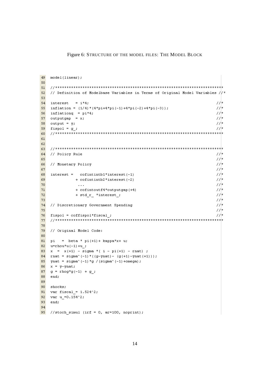Figure 6: STRUCTURE OF THE MODEL FILES: THE MODEL BLOCK

```
49
  model(linear);50
5152
  // Definition of Modelbase Variables in Terms of Original Model Variables /\sqrt{\ast}53
  \text{interest} = \texttt{i*4};77*54
55
  inflation = (1/4) * (4*pi+4*pi(-1) +4*pi(-2) +4*pi(-3));
                                                              1/\tau1/\tau56.
  inflationq = pi*4;1/\tau57.
  outputgap = x;7/758
  output = y;
                                                              77*59
  fispol = g ;
   60
61
62
  63
64
  // Policy Rule
                                                              77*77 \star65
  // Monetary Policy
                                                              7/|t|66
                                                              7/\tau67
                                                              7/\tau68
  interest = cofintintb1*interest(-1)69
           + cofintintb2*interest(-2)
                                                              1/t70<sub>1</sub>7/|t|\cdots77*71\,+ cofintoutf4*outputgap(+4)
                                                              7/|t|72
            + std_r_ *interest_;
73
                                                              77*{\bf 74}// Discretionary Government Spending
                                                              77*75
                                                              7/776
  fispol = coffispol*fised;
                                                              7/777
  78
79
  // Original Model Code:
80
81 pi = beta * pi(+1) + kappa*x+ u;
82
  u=rhou*u(-1)+u_;
  x = x (+1) - sigma^* (i - pi (+1) - rnat);
83
84 rnat = sigma^(-1) * ((g-ynat) - (g(+1) -ynat(+1))) ;
85
  ynat = sigma^(-1)*g /(sigma^(-1)+omega);
86
  x = y - ynat;
87
  g = rhog*g(-1) + g;
88
  end;
89
90
  shocks;
  var fiscal = 1.524^2;
91var u = 0.154^2;
92
93
  end;
94
95 //stoch simul (irf = 0, ar=100, noprint);
```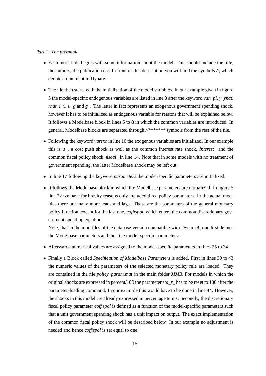#### *Part 1: The preamble*

- Each model file begins with some information about the model. This should include the title, the authors, the publication etc. In front of this description you will find the symbols *//*, which denote a comment in Dynare.
- The file then starts with the initialization of the model variables. In our example given in figure 5 the model-specific endogenous variables are listed in line 3 after the keyword *var*: *pi*, *y*, *ynat*, *rnat*, *i*, *x*, *u*, *g* and *g*. The latter in fact represents an exogenous government spending shock, however it has to be initialized as endogenous variable for reasons that will be explained below. It follows a Modelbase block in lines 5 to 8 in which the common variables are introduced. In general, Modelbase blocks are separated through *//\*\*\*\*\*\*\** symbols from the rest of the file.
- Following the keyword *varexo* in line 10 the exogenous variables are initialized. In our example this is *u\_*, a cost push shock as well as the common interest rate shock, *interest\_* and the common fiscal policy shock, *fiscal\_* in line 14. Note that in some models with no treatment of government spending, the latter Modelbase shock may be left out.
- In line 17 following the keyword *parameters* the model-specific parameters are initialized.
- It follows the Modelbase block in which the Modelbase parameters are intitialized. In figure 5 line 22 we have for brevity reasons only included three policy parameters. In the actual modfiles there are many more leads and lags. These are the parameters of the general monetary policy function, except for the last one, *coffispol*, which enters the common discretionary government spending equation.

Note, that in the mod-files of the database version compatible with Dynare 4, one first defines the Modelbase parameters and then the model-specific parameters.

- Afterwards numerical values are assigned to the model-specific parameters in lines 25 to 34.
- Finally a Block called *Specification of Modelbase Parameters* is added. First in lines 39 to 43 the numeric values of the parameters of the selected monetary policy rule are loaded. They are contained in the file *policy\_param.mat* in the main folder *MMB*. For models in which the original shocks are expressed in percent/100 the parameter *std\_r\_* has to be reset to 100 after the parameter-loading command. In our example this would have to be done in line 44. However, the shocks in this model are already expressed in percentage terms. Secondly, the discretionary fiscal policy parameter *coffispol* is defined as a function of the model-specific parameters such that a unit government spending shock has a unit impact on output. The exact implementation of the common fiscal policy shock will be described below. In our example no adjustment is needed and hence *coffispol* is set equal to one.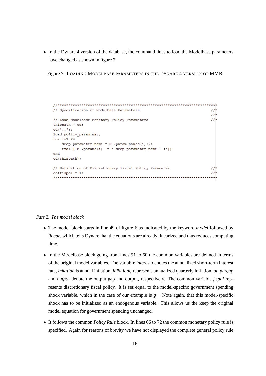• In the Dynare 4 version of the database, the command lines to load the Modelbase parameters have changed as shown in figure 7.

Figure 7: LOADING MODELBASE PARAMETERS IN THE DYNARE 4 VERSION OF MMB

```
11*// Specification of Modelbase Parameters
                                                  11*11*// Load Modelbase Monetary Policy Parameters
thispath = cd;cd('..')load policy param.mat;
for i=1:24deep parameter name = M . param names (i, :);
  eval(['M] .params(i) = ' deep parameter_name ' ; '])end
cd(thispath);
// Definition of Discretionary Fiscal Policy Parameter
                                                  11*11*coffispol = 1;
```
#### *Part 2: The model block*

- The model block starts in line 49 of figure 6 as indicated by the keyword *model* followed by *linear*, which tells Dynare that the equations are already linearized and thus reduces computing time.
- In the Modelbase block going from lines 51 to 60 the common variables are defined in terms of the original model variables. The variable *interest* denotes the annualized short-term interest rate, *inflation* is annual inflation, *inflationq* represents annualized quarterly inflation, *outputgap* and *output* denote the output gap and output, respectively. The common variable *fispol* represents discretionary fiscal policy. It is set equal to the model-specific government spending shock variable, which in the case of our example is *g\_*. Note again, that this model-specific shock has to be initialized as an endogenous variable. This allows us the keep the original model equation for government spending unchanged.
- It follows the common *Policy Rule* block. In lines 66 to 72 the common monetary policy rule is specified. Again for reasons of brevity we have not displayed the complete general policy rule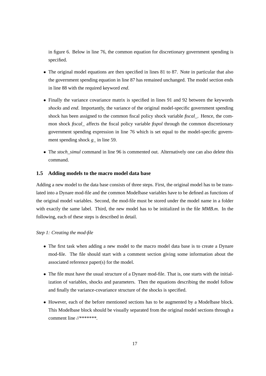in figure 6. Below in line 76, the common equation for discretionary government spending is specified.

- The original model equations are then specified in lines 81 to 87. Note in particular that also the government spending equation in line 87 has remained unchanged. The model section ends in line 88 with the required keyword *end*.
- Finally the variance covariance matrix is specified in lines 91 and 92 between the keywords *shocks* and *end*. Importantly, the variance of the original model-specific government spending shock has been assigned to the common fiscal policy shock variable *fiscal\_*. Hence, the common shock *fiscal\_* affects the fiscal policy variable *fispol* through the common discretionary government spending expression in line 76 which is set equal to the model-specific government spending shock *g* in line 59.
- The *stoch\_simul* command in line 96 is commented out. Alternatively one can also delete this command.

#### **1.5 Adding models to the macro model data base**

Adding a new model to the data base consists of three steps. First, the original model has to be translated into a Dynare mod-file and the common Modelbase variables have to be defined as functions of the original model variables. Second, the mod-file must be stored under the model name in a folder with exactly the same label. Third, the new model has to be initialized in the file *MMB.m*. In the following, each of these steps is described in detail.

#### *Step 1: Creating the mod-file*

- The first task when adding a new model to the macro model data base is to create a Dynare mod-file. The file should start with a comment section giving some information about the associated reference paper(s) for the model.
- The file must have the usual structure of a Dynare mod-file. That is, one starts with the initialization of variables, shocks and parameters. Then the equations describing the model follow and finally the variance-covariance structure of the shocks is specified.
- However, each of the before mentioned sections has to be augmented by a Modelbase block. This Modelbase block should be visually separated from the original model sections through a comment line *//\*\*\*\*\*\*\**.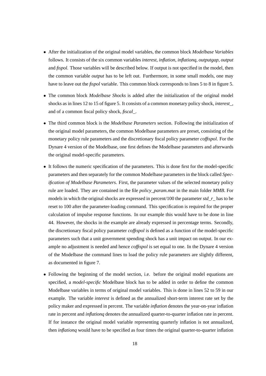- After the initialization of the original model variables, the common block *Modelbase Variables* follows. It consists of the six common variables *interest*, *inflation*, *inflationq*, *outputgap*, *output* and *fispol*. Those variables will be described below. If output is not specified in the model, then the common variable *output* has to be left out. Furthermore, in some small models, one may have to leave out the *fispol* variable. This common block corresponds to lines 5 to 8 in figure 5.
- The common block *Modelbase Shocks* is added after the initialization of the original model shocks as in lines 12 to 15 of figure 5. It consists of a common monetary policy shock, *interest\_*, and of a common fiscal policy shock, *fiscal\_*.
- The third common block is the *Modelbase Parameters* section. Following the initialization of the original model parameters, the common Modelbase parameters are preset, consisting of the monetary policy rule parameters and the discretionary fiscal policy parameter *coffispol*. For the Dynare 4 version of the Modelbase, one first defines the Modelbase parameters and afterwards the original model-specific parameters.
- It follows the numeric specification of the parameters. This is done first for the model-specific parameters and then separately for the common Modelbase parameters in the block called *Specification of Modelbase Parameters*. First, the parameter values of the selected monetary policy rule are loaded. They are contained in the file *policy\_param.mat* in the main folder *MMB*. For models in which the original shocks are expressed in percent/100 the parameter *std\_r\_* has to be reset to 100 after the parameter-loading command. This specification is required for the proper calculation of impulse response functions. In our example this would have to be done in line 44. However, the shocks in the example are already expressed in percentage terms. Secondly, the discretionary fiscal policy parameter *coffispol* is defined as a function of the model-specific parameters such that a unit government spending shock has a unit impact on output. In our example no adjustment is needed and hence *coffispol* is set equal to one. In the Dynare 4 version of the Modelbase the command lines to load the policy rule parameters are slightly different, as documented in figure 7.
- Following the beginning of the model section, i.e. before the original model equations are specified, a *model-specific* Modelbase block has to be added in order to define the common Modelbase variables in terms of original model variables. This is done in lines 52 to 59 in our example. The variable *interest* is defined as the annualized short-term interest rate set by the policy maker and expressed in percent. The variable *inflation* denotes the year-on-year inflation rate in percent and *inflationq* denotes the annualized quarter-to-quarter inflation rate in percent. If for instance the original model variable representing quarterly inflation is not annualized, then *inflationq* would have to be specified as four times the original quarter-to-quarter inflation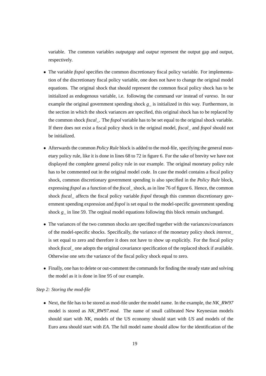variable. The common variables *outputgap* and *output* represent the output gap and output, respectively.

- The variable *fispol* specifies the common discretionary fiscal policy variable. For implementation of the discretionary fiscal policy variable, one does not have to change the original model equations. The original shock that should represent the common fiscal policy shock has to be initialized as endogenous variable, i.e. following the command *var* instead of *varexo*. In our example the original government spending shock *g\_* is initialized in this way. Furthermore, in the section in which the shock variances are specified, this original shock has to be replaced by the common shock *fiscal\_*. The *fispol* variable has to be set equal to the original shock variable. If there does not exist a fiscal policy shock in the original model, *fiscal\_* and *fispol* should not be initialized.
- Afterwards the common *Policy Rule* block is added to the mod-file, specifying the general monetary policy rule, like it is done in lines 68 to 72 in figure 6. For the sake of brevity we have not displayed the complete general policy rule in our example. The original monetary policy rule has to be commented out in the original model code. In case the model contains a fiscal policy shock, common discretionary government spending is also specified in the *Policy Rule* block, expressing *fispol* as a function of the *fiscal\_* shock, as in line 76 of figure 6. Hence, the common shock *fiscal* affects the fiscal policy variable *fispol* through this common discretionary government spending expression and *fispol* is set equal to the model-specific government spending shock *g\_* in line 59. The orginal model equations following this block remain unchanged.
- The variances of the two common shocks are specified together with the variances/covariances of the model-specific shocks. Specifically, the variance of the monetary policy shock *interest\_* is set equal to zero and therefore it does not have to show up explicitly. For the fiscal policy shock *fiscal* one adopts the original covariance specification of the replaced shock if available. Otherwise one sets the variance of the fiscal policy shock equal to zero.
- Finally, one has to delete or out-comment the commands for finding the steady state and solving the model as it is done in line 95 of our example.

#### *Step 2: Storing the mod-file*

• Next, the file has to be stored as mod-file under the model name. In the example, the *NK\_RW97* model is stored as *NK\_RW97.mod*. The name of small calibrated New Keynesian models should start with *NK*, models of the US economy should start with *US* and models of the Euro area should start with *EA*. The full model name should allow for the identification of the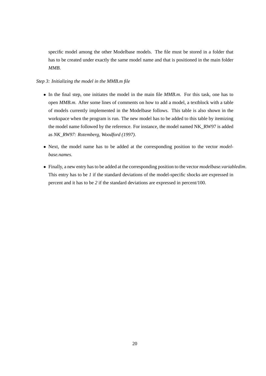specific model among the other Modelbase models. The file must be stored in a folder that has to be created under exactly the same model name and that is positioned in the main folder *MMB*.

#### *Step 3: Initializing the model in the MMB.m file*

- In the final step, one initiates the model in the main file *MMB.m*. For this task, one has to open *MMB.m*. After some lines of comments on how to add a model, a textblock with a table of models currently implemented in the Modelbase follows. This table is also shown in the workspace when the program is run. The new model has to be added to this table by itemizing the model name followed by the reference. For instance, the model named NK\_RW97 is added as *NK\_RW97: Rotemberg, Woodford (1997)*.
- Next, the model name has to be added at the corresponding position to the vector *modelbase.names*.
- Finally, a new entry has to be added at the corresponding position to the vector *modelbase.variabledim*. This entry has to be *1* if the standard deviations of the model-specific shocks are expressed in percent and it has to be *2* if the standard deviations are expressed in percent/100.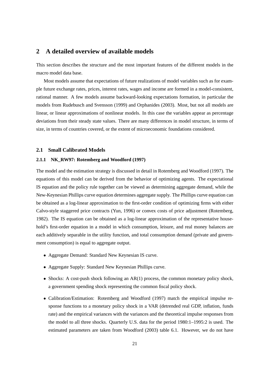## **2 A detailed overview of available models**

This section describes the structure and the most important features of the different models in the macro model data base.

Most models assume that expectations of future realizations of model variables such as for example future exchange rates, prices, interest rates, wages and income are formed in a model-consistent, rational manner. A few models assume backward-looking expectations formation, in particular the models from Rudebusch and Svensson (1999) and Orphanides (2003). Most, but not all models are linear, or linear approximations of nonlinear models. In this case the variables appear as percentage deviations from their steady state values. There are many differences in model structure, in terms of size, in terms of countries covered, or the extent of microeconomic foundations considered.

#### **2.1 Small Calibrated Models**

#### **2.1.1 NK\_RW97: Rotemberg and Woodford (1997)**

The model and the estimation strategy is discussed in detail in Rotemberg and Woodford (1997). The equations of this model can be derived from the behavior of optimizing agents. The expectational IS equation and the policy rule together can be viewed as determining aggregate demand, while the New-Keynesian Phillips curve equation determines aggregate supply. The Phillips curve equation can be obtained as a log-linear approximation to the first-order condition of optimizing firms with either Calvo-style staggered price contracts (Yun, 1996) or convex costs of price adjustment (Rotemberg, 1982). The IS equation can be obtained as a log-linear approximation of the representative household's first-order equation in a model in which consumption, leisure, and real money balances are each additively separable in the utility function, and total consumption demand (private and government consumption) is equal to aggregate output.

- Aggregate Demand: Standard New Keynesian IS curve.
- Aggregate Supply: Standard New Keynesian Phillips curve.
- Shocks: A cost-push shock following an AR(1) process, the common monetary policy shock, a government spending shock representing the common fiscal policy shock.
- Calibration/Estimation: Rotemberg and Woodford (1997) match the empirical impulse response functions to a monetary policy shock in a VAR (detrended real GDP, inflation, funds rate) and the empirical variances with the variances and the theoretical impulse responses from the model to all three shocks. Quarterly U.S. data for the period 1980:1–1995:2 is used. The estimated parameters are taken from Woodford (2003) table 6.1. However, we do not have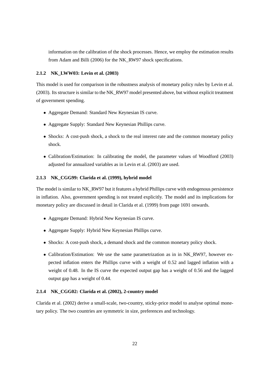information on the calibration of the shock processes. Hence, we employ the estimation results from Adam and Billi (2006) for the NK\_RW97 shock specifications.

#### **2.1.2 NK\_LWW03: Levin et al. (2003)**

This model is used for comparison in the robustness analysis of monetary policy rules by Levin et al. (2003). Its structure is similar to the NK\_RW97 model presented above, but without explicit treatment of government spending.

- Aggregate Demand: Standard New Keynesian IS curve.
- Aggregate Supply: Standard New Keynesian Phillips curve.
- Shocks: A cost-push shock, a shock to the real interest rate and the common monetary policy shock.
- Calibration/Estimation: In calibrating the model, the parameter values of Woodford (2003) adjusted for annualized variables as in Levin et al. (2003) are used.

#### **2.1.3 NK\_CGG99: Clarida et al. (1999), hybrid model**

The model is similar to NK\_RW97 but it features a hybrid Phillips curve with endogenous persistence in inflation. Also, government spending is not treated explicitly. The model and its implications for monetary policy are discussed in detail in Clarida et al. (1999) from page 1691 onwards.

- Aggregate Demand: Hybrid New Keynesian IS curve.
- Aggregate Supply: Hybrid New Keynesian Phillips curve.
- Shocks: A cost-push shock, a demand shock and the common monetary policy shock.
- Calibration/Estimation: We use the same parametrization as in in NK RW97, however expected inflation enters the Phillips curve with a weight of 0.52 and lagged inflation with a weight of 0.48. In the IS curve the expected output gap has a weight of 0.56 and the lagged output gap has a weight of 0.44.

#### **2.1.4 NK\_CGG02: Clarida et al. (2002), 2-country model**

Clarida et al. (2002) derive a small-scale, two-country, sticky-price model to analyse optimal monetary policy. The two countries are symmetric in size, preferences and technology.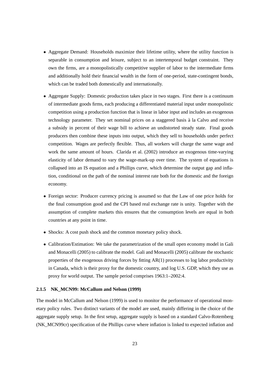- Aggregate Demand: Households maximize their lifetime utility, where the utility function is separable in consumption and leisure, subject to an intertemporal budget constraint. They own the firms, are a monopolistically competitive supplier of labor to the intermediate firms and additionally hold their financial wealth in the form of one-period, state-contingent bonds, which can be traded both domestically and internationally.
- Aggregate Supply: Domestic production takes place in two stages. First there is a continuum of intermediate goods firms, each producing a differentiated material input under monopolistic competition using a production function that is linear in labor input and includes an exogenous technology parameter. They set nominal prices on a staggered basis à la Calvo and receive a subsidy in percent of their wage bill to achieve an undistorted steady state. Final goods producers then combine these inputs into output, which they sell to households under perfect competition. Wages are perfectly flexible. Thus, all workers will charge the same wage and work the same amount of hours. Clarida et al. (2002) introduce an exogenous time-varying elasticity of labor demand to vary the wage-mark-up over time. The system of equations is collapsed into an IS equation and a Phillips curve, which determine the output gap and inflation, conditional on the path of the nominal interest rate both for the domestic and the foreign economy.
- Foreign sector: Producer currency pricing is assumed so that the Law of one price holds for the final consumption good and the CPI based real exchange rate is unity. Together with the assumption of complete markets this ensures that the consumption levels are equal in both countries at any point in time.
- Shocks: A cost push shock and the common monetary policy shock.
- Calibration/Estimation: We take the parametrization of the small open economy model in Gali and Monacelli (2005) to calibrate the model. Gali and Monacelli (2005) calibrate the stochastic properties of the exogenous driving forces by fitting AR(1) processes to log labor productivity in Canada, which is their proxy for the domestic country, and log U.S. GDP, which they use as proxy for world output. The sample period comprises 1963:1–2002:4.

#### **2.1.5 NK\_MCN99: McCallum and Nelson (1999)**

The model in McCallum and Nelson (1999) is used to monitor the performance of operational monetary policy rules. Two distinct variants of the model are used, mainly differing in the choice of the aggregate supply setup. In the first setup, aggregate supply is based on a standard Calvo-Rotemberg (NK\_MCN99cr) specification of the Phillips curve where inflation is linked to expected inflation and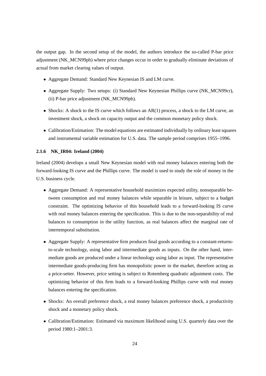the output gap. In the second setup of the model, the authors introduce the so-called P-bar price adjustment (NK\_MCN99pb) where price changes occur in order to gradually eliminate deviations of actual from market clearing values of output.

- Aggregate Demand: Standard New Keynesian IS and LM curve.
- Aggregate Supply: Two setups: (i) Standard New Keynesian Phillips curve (NK\_MCN99cr), (ii) P-bar price adjustment (NK\_MCN99pb).
- Shocks: A shock to the IS curve which follows an AR(1) process, a shock to the LM curve, an investment shock, a shock on capacity output and the common monetary policy shock.
- Calibration/Estimation: The model equations are estimated individually by ordinary least squares and instrumental variable estimation for U.S. data. The sample period comprises 1955–1996.

#### **2.1.6 NK\_IR04: Ireland (2004)**

Ireland (2004) develops a small New Keynesian model with real money balances entering both the forward-looking IS curve and the Phillips curve. The model is used to study the role of money in the U.S. business cycle.

- Aggregate Demand: A representative household maximizes expected utility, nonseparable between consumption and real money balances while separable in leisure, subject to a budget constraint. The optimizing behavior of this household leads to a forward-looking IS curve with real money balances entering the specification. This is due to the non-separability of real balances to consumption in the utility function, as real balances affect the marginal rate of intertemporal substitution.
- Aggregate Supply: A representative firm produces final goods according to a constant-returnsto-scale technology, using labor and intermediate goods as inputs. On the other hand, intermediate goods are produced under a linear technology using labor as input. The representative intermediate goods-producing firm has monopolistic power in the market, therefore acting as a price-setter. However, price setting is subject to Rotemberg quadratic adjustment costs. The optimizing behavior of this firm leads to a forward-looking Phillips curve with real money balances entering the specification.
- Shocks: An overall preference shock, a real money balances preference shock, a productivity shock and a monetary policy shock.
- Calibration/Estimation: Estimated via maximum likelihood using U.S. quarterly data over the period 1980:1–2001:3.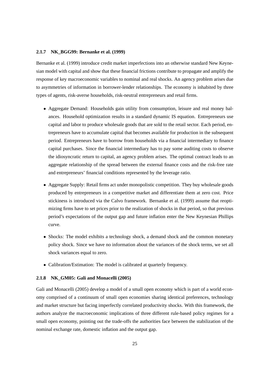#### **2.1.7 NK\_BGG99: Bernanke et al. (1999)**

Bernanke et al. (1999) introduce credit market imperfections into an otherwise standard New Keynesian model with capital and show that these financial frictions contribute to propagate and amplify the response of key macroeconomic variables to nominal and real shocks. An agency problem arises due to asymmetries of information in borrower-lender relationships. The economy is inhabited by three types of agents, risk-averse households, risk-neutral entrepreneurs and retail firms.

- Aggregate Demand: Households gain utility from consumption, leisure and real money balances. Household optimization results in a standard dynamic IS equation. Entrepreneurs use capital and labor to produce wholesale goods that are sold to the retail sector. Each period, entrepreneurs have to accumulate capital that becomes available for production in the subsequent period. Entrepreneurs have to borrow from households via a financial intermediary to finance capital purchases. Since the financial intermediary has to pay some auditing costs to observe the idiosyncratic return to capital, an agency problem arises. The optimal contract leads to an aggregate relationship of the spread between the external finance costs and the risk-free rate and entrepreneurs' financial conditions represented by the leverage ratio.
- Aggregate Supply: Retail firms act under monopolistic competition. They buy wholesale goods produced by entrepreneurs in a competitive market and differentiate them at zero cost. Price stickiness is introduced via the Calvo framework. Bernanke et al. (1999) assume that reoptimizing firms have to set prices prior to the realization of shocks in that period, so that previous period's expectations of the output gap and future inflation enter the New Keynesian Phillips curve.
- Shocks: The model exhibits a technology shock, a demand shock and the common monetary policy shock. Since we have no information about the variances of the shock terms, we set all shock variances equal to zero.
- Calibration/Estimation: The model is calibrated at quarterly frequency.

#### **2.1.8 NK\_GM05: Gali and Monacelli (2005)**

Gali and Monacelli (2005) develop a model of a small open economy which is part of a world economy comprised of a continuum of small open economies sharing identical preferences, technology and market structure but facing imperfectly correlated productivity shocks. With this framework, the authors analyze the macroeconomic implications of three different rule-based policy regimes for a small open economy, pointing out the trade-offs the authorities face between the stabilization of the nominal exchange rate, domestic inflation and the output gap.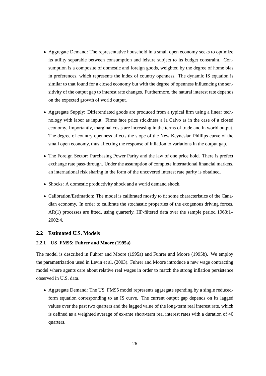- Aggregate Demand: The representative household in a small open economy seeks to optimize its utility separable between consumption and leisure subject to its budget constraint. Consumption is a composite of domestic and foreign goods, weighted by the degree of home bias in preferences, which represents the index of country openness. The dynamic IS equation is similar to that found for a closed economy but with the degree of openness influencing the sensitivity of the output gap to interest rate changes. Furthermore, the natural interest rate depends on the expected growth of world output.
- Aggregate Supply: Differentiated goods are produced from a typical firm using a linear technology with labor as input. Firms face price stickiness a la Calvo as in the case of a closed economy. Importantly, marginal costs are increasing in the terms of trade and in world output. The degree of country openness affects the slope of the New Keynesian Phillips curve of the small open economy, thus affecting the response of inflation to variations in the output gap.
- The Foreign Sector: Purchasing Power Parity and the law of one price hold. There is prefect exchange rate pass-through. Under the assumption of complete international financial markets, an international risk sharing in the form of the uncovered interest rate parity is obtained.
- Shocks: A domestic productivity shock and a world demand shock.
- Calibration/Estimation: The model is calibrated mostly to fit some characteristics of the Canadian economy. In order to calibrate the stochastic properties of the exogenous driving forces, AR(1) processes are fitted, using quarterly, HP-filtered data over the sample period 1963:1– 2002:4.

#### **2.2 Estimated U.S. Models**

#### **2.2.1 US\_FM95: Fuhrer and Moore (1995a)**

The model is described in Fuhrer and Moore (1995a) and Fuhrer and Moore (1995b). We employ the parametrization used in Levin et al. (2003). Fuhrer and Moore introduce a new wage contracting model where agents care about relative real wages in order to match the strong inflation persistence observed in U.S. data.

• Aggregate Demand: The US\_FM95 model represents aggregate spending by a single reducedform equation corresponding to an IS curve. The current output gap depends on its lagged values over the past two quarters and the lagged value of the long-term real interest rate, which is defined as a weighted average of ex-ante short-term real interest rates with a duration of 40 quarters.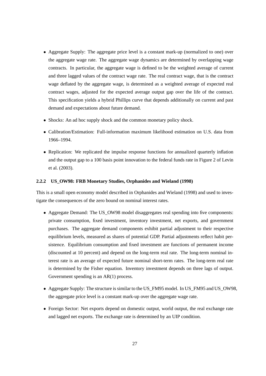- Aggregate Supply: The aggregate price level is a constant mark-up (normalized to one) over the aggregate wage rate. The aggregate wage dynamics are determined by overlapping wage contracts. In particular, the aggregate wage is defined to be the weighted average of current and three lagged values of the contract wage rate. The real contract wage, that is the contract wage deflated by the aggregate wage, is determined as a weighted average of expected real contract wages, adjusted for the expected average output gap over the life of the contract. This specification yields a hybrid Phillips curve that depends additionally on current and past demand and expectations about future demand.
- Shocks: An ad hoc supply shock and the common monetary policy shock.
- Calibration/Estimation: Full-information maximum likelihood estimation on U.S. data from 1966–1994.
- Replication: We replicated the impulse response functions for annualized quarterly inflation and the output gap to a 100 basis point innovation to the federal funds rate in Figure 2 of Levin et al. (2003).

#### **2.2.2 US\_OW98: FRB Monetary Studies, Orphanides and Wieland (1998)**

This is a small open economy model described in Orphanides and Wieland (1998) and used to investigate the consequences of the zero bound on nominal interest rates.

- Aggregate Demand: The US OW98 model disaggregates real spending into five components: private consumption, fixed investment, inventory investment, net exports, and government purchases. The aggregate demand components exhibit partial adjustment to their respective equilibrium levels, measured as shares of potential GDP. Partial adjustments reflect habit persistence. Equilibrium consumption and fixed investment are functions of permanent income (discounted at 10 percent) and depend on the long-term real rate. The long-term nominal interest rate is an average of expected future nominal short-term rates. The long-term real rate is determined by the Fisher equation. Inventory investment depends on three lags of output. Government spending is an AR(1) process.
- Aggregate Supply: The structure is similar to the US\_FM95 model. In US\_FM95 and US\_OW98, the aggregate price level is a constant mark-up over the aggregate wage rate.
- Foreign Sector: Net exports depend on domestic output, world output, the real exchange rate and lagged net exports. The exchange rate is determined by an UIP condition.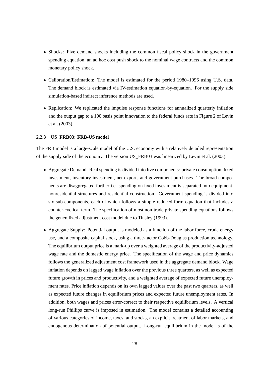- Shocks: Five demand shocks including the common fiscal policy shock in the government spending equation, an ad hoc cost push shock to the nominal wage contracts and the common monetary policy shock.
- Calibration/Estimation: The model is estimated for the period 1980–1996 using U.S. data. The demand block is estimated via IV-estimation equation-by-equation. For the supply side simulation-based indirect inference methods are used.
- Replication: We replicated the impulse response functions for annualized quarterly inflation and the output gap to a 100 basis point innovation to the federal funds rate in Figure 2 of Levin et al. (2003).

#### **2.2.3 US\_FRB03: FRB-US model**

The FRB model is a large-scale model of the U.S. economy with a relatively detailed representation of the supply side of the economy. The version US\_FRB03 was linearized by Levin et al. (2003).

- Aggregate Demand: Real spending is divided into five components: private consumption, fixed investment, inventory investment, net exports and government purchases. The broad components are disaggregated further i.e. spending on fixed investment is separated into equipment, nonresidential structures and residential construction. Government spending is divided into six sub-components, each of which follows a simple reduced-form equation that includes a counter-cyclical term. The specification of most non-trade private spending equations follows the generalized adjustment cost model due to Tinsley (1993).
- Aggregate Supply: Potential output is modeled as a function of the labor force, crude energy use, and a composite capital stock, using a three-factor Cobb-Douglas production technology. The equilibrium output price is a mark-up over a weighted average of the productivity-adjusted wage rate and the domestic energy price. The specification of the wage and price dynamics follows the generalized adjustment cost framework used in the aggregate demand block. Wage inflation depends on lagged wage inflation over the previous three quarters, as well as expected future growth in prices and productivity, and a weighted average of expected future unemployment rates. Price inflation depends on its own lagged values over the past two quarters, as well as expected future changes in equilibrium prices and expected future unemployment rates. In addition, both wages and prices error-correct to their respective equilibrium levels. A vertical long-run Phillips curve is imposed in estimation. The model contains a detailed accounting of various categories of income, taxes, and stocks, an explicit treatment of labor markets, and endogenous determination of potential output. Long-run equilibrium in the model is of the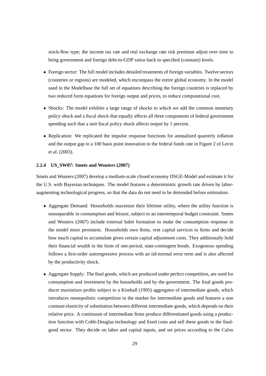stock-flow type; the income tax rate and real exchange rate risk premium adjust over time to bring government and foreign debt-to-GDP ratios back to specified (constant) levels.

- Foreign sector: The full model includes detailed treatments of foreign variables. Twelve sectors (countries or regions) are modeled, which encompass the entire global economy. In the model used in the Modelbase the full set of equations describing the foreign countries is replaced by two reduced form equations for foreign output and prices, to reduce computational cost.
- Shocks: The model exhibits a large range of shocks to which we add the common monetary policy shock and a fiscal shock that equally affects all three components of federal government spending such that a unit fiscal policy shock affects output by 1 percent.
- Replication: We replicated the impulse response functions for annualized quarterly inflation and the output gap to a 100 basis point innovation to the federal funds rate in Figure 2 of Levin et al. (2003).

#### **2.2.4 US\_SW07: Smets and Wouters (2007)**

Smets and Wouters (2007) develop a medium-scale closed economy DSGE-Model and estimate it for the U.S. with Bayesian techniques. The model features a deterministic growth rate driven by laboraugmenting technological progress, so that the data do not need to be detrended before estimation.

- Aggregate Demand: Households maximize their lifetime utility, where the utility function is nonseparable in consumption and leisure, subject to an intertemporal budget constraint. Smets and Wouters (2007) include external habit formation to make the consumption response in the model more persistent. Households own firms, rent capital services to firms and decide how much capital to accumulate given certain capital adjustment costs. They additionally hold their financial wealth in the form of one-period, state-contingent bonds. Exogenous spending follows a first-order autoregressive process with an iid-normal error term and is also affected by the productivity shock.
- Aggregate Supply: The final goods, which are produced under perfect competition, are used for consumption and investment by the households and by the government. The final goods producer maximizes profits subject to a Kimball (1995) aggregator of intermediate goods, which introduces monopolistic competition in the market for intermediate goods and features a non constant elasticity of substitution between different intermediate goods, which depends on their relative price. A continuum of intermediate firms produce differentiated goods using a production function with Cobb-Douglas technology and fixed costs and sell these goods to the finalgood sector. They decide on labor and capital inputs, and set prices according to the Calvo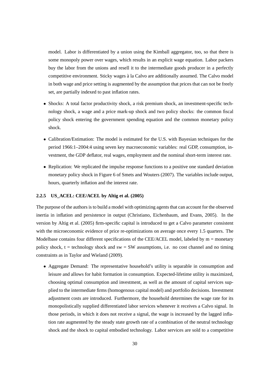model. Labor is differentiated by a union using the Kimball aggregator, too, so that there is some monopoly power over wages, which results in an explicit wage equation. Labor packers buy the labor from the unions and resell it to the intermediate goods producer in a perfectly competitive environment. Sticky wages à la Calvo are additionally assumed. The Calvo model in both wage and price setting is augmented by the assumption that prices that can not be freely set, are partially indexed to past inflation rates.

- Shocks: A total factor productivity shock, a risk premium shock, an investment-specific technology shock, a wage and a price mark-up shock and two policy shocks: the common fiscal policy shock entering the government spending equation and the common monetary policy shock.
- Calibration/Estimation: The model is estimated for the U.S. with Bayesian techniques for the period 1966:1–2004:4 using seven key macroeconomic variables: real GDP, consumption, investment, the GDP deflator, real wages, employment and the nominal short-term interest rate.
- Replication: We replicated the impulse response functions to a positive one standard deviation monetary policy shock in Figure 6 of Smets and Wouters (2007). The variables include output, hours, quarterly inflation and the interest rate.

#### **2.2.5 US\_ACEL: CEE/ACEL by Altig et al. (2005)**

The purpose of the authors is to build a model with optimizing agents that can account for the observed inertia in inflation and persistence in output (Christiano, Eichenbaum, and Evans, 2005). In the version by Altig et al. (2005) firm-specific capital is introduced to get a Calvo parameter consistent with the microeconomic evidence of price re-optimizations on average once every 1.5 quarters. The Modelbase contains four different specifications of the CEE/ACEL model, labeled by m = monetary policy shock,  $t = \text{technology shock}$  and  $sw = SW$  assumptions, i.e. no cost channel and no timing constraints as in Taylor and Wieland (2009).

• Aggregate Demand: The representative household's utility is separable in consumption and leisure and allows for habit formation in consumption. Expected-lifetime utility is maximized, choosing optimal consumption and investment, as well as the amount of capital services supplied to the intermediate firms (homogenous capital model) and portfolio decisions. Investment adjustment costs are introduced. Furthermore, the household determines the wage rate for its monopolistically supplied differentiated labor services whenever it receives a Calvo signal. In those periods, in which it does not receive a signal, the wage is increased by the lagged inflation rate augmented by the steady state growth rate of a combination of the neutral technology shock and the shock to capital embodied technology. Labor services are sold to a competitive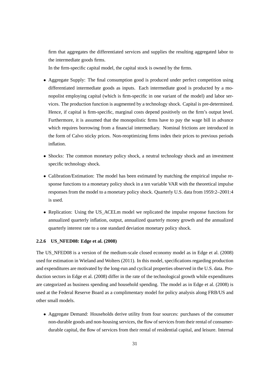firm that aggregates the differentiated services and supplies the resulting aggregated labor to the intermediate goods firms.

In the firm-specific capital model, the capital stock is owned by the firms.

- Aggregate Supply: The final consumption good is produced under perfect competition using differentiated intermediate goods as inputs. Each intermediate good is producted by a monopolist employing capital (which is firm-specific in one variant of the model) and labor services. The production function is augmented by a technology shock. Capital is pre-determined. Hence, if capital is firm-specific, marginal costs depend positively on the firm's output level. Furthermore, it is assumed that the monopolistic firms have to pay the wage bill in advance which requires borrowing from a financial intermediary. Nominal frictions are introduced in the form of Calvo sticky prices. Non-reoptimizing firms index their prices to previous periods inflation.
- Shocks: The common monetary policy shock, a neutral technology shock and an investment specific technology shock.
- Calibration/Estimation: The model has been estimated by matching the empirical impulse response functions to a monetary policy shock in a ten variable VAR with the theoretical impulse responses from the model to a monetary policy shock. Quarterly U.S. data from 1959:2–2001:4 is used.
- Replication: Using the US\_ACELm model we replicated the impulse response functions for annualized quarterly inflation, output, annualized quarterly money growth and the annualized quarterly interest rate to a one standard deviation monetary policy shock.

#### **2.2.6 US\_NFED08: Edge et al. (2008)**

The US\_NFED08 is a version of the medium-scale closed economy model as in Edge et al. (2008) used for estimation in Wieland and Wolters (2011). In this model, specifications regarding production and expenditures are motivated by the long-run and cyclical properties observed in the U.S. data. Production sectors in Edge et al. (2008) differ in the rate of the technological growth while expenditures are categorized as business spending and household spending. The model as in Edge et al. (2008) is used at the Federal Reserve Board as a complimentary model for policy analysis along FRB/US and other small models.

• Aggregate Demand: Households derive utility from four sources: purchases of the consumer non-durable goods and non-housing services, the flow of services from their rental of consumerdurable capital, the flow of services from their rental of residential capital, and leisure. Internal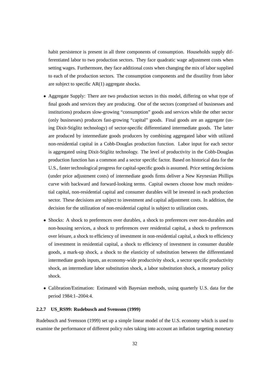habit persistence is present in all three components of consumption. Households supply differentiated labor to two production sectors. They face quadratic wage adjustment costs when setting wages. Furthermore, they face additional costs when changing the mix of labor supplied to each of the production sectors. The consumption components and the disutility from labor are subject to specific  $AR(1)$  aggregate shocks.

- Aggregate Supply: There are two production sectors in this model, differing on what type of final goods and services they are producing. One of the sectors (comprised of businesses and institutions) produces slow-growing "consumption" goods and services while the other sector (only businesses) produces fast-growing "capital" goods. Final goods are an aggregate (using Dixit-Stiglitz technology) of sector-specific differentiated intermediate goods. The latter are produced by intermediate goods producers by combining aggregated labor with utilized non-residential capital in a Cobb-Douglas production function. Labor input for each sector is aggregated using Dixit-Stiglitz technology. The level of productivity in the Cobb-Douglas production function has a common and a sector specific factor. Based on historical data for the U.S., faster technological progress for capital-specific goods is assumed. Price setting decisions (under price adjustment costs) of intermediate goods firms deliver a New Keynesian Phillips curve with backward and forward-looking terms. Capital owners choose how much residential capital, non-residential capital and consumer durables will be invested in each production sector. These decisions are subject to investment and capital adjustment costs. In addition, the decision for the utilization of non-residential capital is subject to utilization costs.
- Shocks: A shock to preferences over durables, a shock to preferences over non-durables and non-housing services, a shock to preferences over residential capital, a shock to preferences over leisure, a shock to efficiency of investment in non-residential capital, a shock to efficiency of investment in residential capital, a shock to efficiency of investment in consumer durable goods, a mark-up shock, a shock to the elasticity of substitution between the differentiated intermediate goods inputs, an economy-wide productivity shock, a sector specific productivity shock, an intermediate labor substitution shock, a labor substitution shock, a monetary policy shock.
- Calibration/Estimation: Estimated with Bayesian methods, using quarterly U.S. data for the period 1984:1–2004:4.

#### **2.2.7 US\_RS99: Rudebusch and Svensson (1999)**

Rudebusch and Svensson (1999) set up a simple linear model of the U.S. economy which is used to examine the performance of different policy rules taking into account an inflation targeting monetary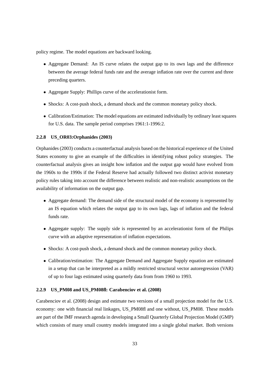policy regime. The model equations are backward looking.

- Aggregate Demand: An IS curve relates the output gap to its own lags and the difference between the average federal funds rate and the average inflation rate over the current and three preceding quarters.
- Aggregate Supply: Phillips curve of the accelerationist form.
- Shocks: A cost-push shock, a demand shock and the common monetary policy shock.
- Calibration/Estimation: The model equations are estimated individually by ordinary least squares for U.S. data. The sample period comprises 1961:1-1996:2.

#### **2.2.8 US\_OR03:Orphanides (2003)**

Orphanides (2003) conducts a counterfactual analysis based on the historical experience of the United States economy to give an example of the difficulties in identifying robust policy strategies. The counterfactual analysis gives an insight how inflation and the output gap would have evolved from the 1960s to the 1990s if the Federal Reserve had actually followed two distinct activist monetary policy rules taking into account the difference between realistic and non-realistic assumptions on the availability of information on the output gap.

- Aggregate demand: The demand side of the structural model of the economy is represented by an IS equation which relates the output gap to its own lags, lags of inflation and the federal funds rate.
- Aggregate supply: The supply side is represented by an accelerationist form of the Philips curve with an adaptive representation of inflation expectations.
- Shocks: A cost-push shock, a demand shock and the common monetary policy shock.
- Calibration/estimation: The Aggregate Demand and Aggregate Supply equation are estimated in a setup that can be interpreted as a mildly restricted structural vector autoregression (VAR) of up to four lags estimated using quarterly data from from 1960 to 1993.

#### **2.2.9 US\_PM08 and US\_PM08fl: Carabenciov et al. (2008)**

Carabenciov et al. (2008) design and estimate two versions of a small projection model for the U.S. economy: one with financial real linkages, US\_PM08fl and one without, US\_PM08. These models are part of the IMF research agenda in developing a Small Quarterly Global Projection Model (GMP) which consists of many small country models integrated into a single global market. Both versions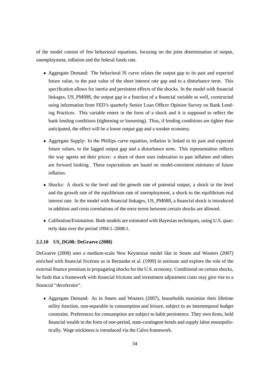of the model consist of few behavioral equations, focusing on the joint determination of output, unemployment, inflation and the federal funds rate.

- Aggregate Demand: The behavioral IS curve relates the output gap to its past and expected future value, to the past value of the short interest rate gap and to a disturbance term. This specification allows for inertia and persistent effects of the shocks. In the model with financial linkages, US\_PM08fl, the output gap is a function of a financial variable as well, constructed using information from FED's quarterly Senior Loan Officer Opinion Survey on Bank Lending Practices. This variable enters in the form of a shock and it is supposed to reflect the bank lending conditions (tightening or loosening). Thus, if lending conditions are tighter than anticipated, the effect will be a lower output gap and a weaker economy.
- Aggregate Supply: In the Phillips curve equation, inflation is linked to its past and expected future values, to the lagged output gap and a disturbance term. This representation reflects the way agents set their prices: a share of them uses indexation to past inflation and others are forward looking. These expectations are based on model-consistent estimates of future inflation.
- Shocks: A shock to the level and the growth rate of potential output, a shock to the level and the growth rate of the equilibrium rate of unemployment, a shock to the equilibrium real interest rate. In the model with financial linkages, US\_PM08fl, a financial shock is introduced in addition and cross correlations of the error terms between certain shocks are allowed.
- Calibration/Estimation: Both models are estimated with Bayesian techniques, using U.S. quarterly data over the period 1994:1–2008:1.

#### **2.2.10 US\_DG08: DeGraeve (2008)**

DeGraeve (2008) uses a medium-scale New Keynesian model like in Smets and Wouters (2007) enriched with financial frictions as in Bernanke et al. (1999) to estimate and explore the role of the external finance premium in propagating shocks for the U.S. economy. Conditional on certain shocks, he finds that a framework with financial frictions and investment adjustment costs may give rise to a financial "decelerator".

• Aggregate Demand: As in Smets and Wouters (2007), households maximize their lifetime utility function, non-separable in consumption and leisure, subject to an intertemporal budget constraint. Preferences for consumption are subject to habit persistence. They own firms, hold financial wealth in the form of one-period, state-contingent bonds and supply labor monopolistically. Wage stickiness is introduced via the Calvo framework.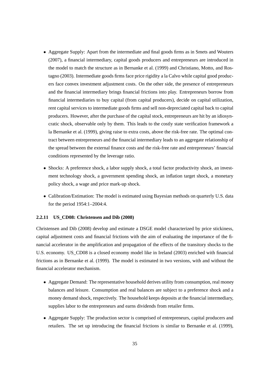- Aggregate Supply: Apart from the intermediate and final goods firms as in Smets and Wouters (2007), a financial intermediary, capital goods producers and entrepreneurs are introduced in the model to match the structure as in Bernanke et al. (1999) and Christiano, Motto, and Rostagno (2003). Intermediate goods firms face price rigidity a la Calvo while capital good producers face convex investment adjustment costs. On the other side, the presence of entrepreneurs and the financial intermediary brings financial frictions into play. Entrepreneurs borrow from financial intermediaries to buy capital (from capital producers), decide on capital utilization, rent capital services to intermediate goods firms and sell non-depreciated capital back to capital producers. However, after the purchase of the capital stock, entrepreneurs are hit by an idiosyncratic shock, observable only by them. This leads to the costly state verification framework a la Bernanke et al. (1999), giving raise to extra costs, above the risk-free rate. The optimal contract between entrepreneurs and the financial intermediary leads to an aggregate relationship of the spread between the external finance costs and the risk-free rate and entrepreneurs' financial conditions represented by the leverage ratio.
- Shocks: A preference shock, a labor supply shock, a total factor productivity shock, an investment technology shock, a government spending shock, an inflation target shock, a monetary policy shock, a wage and price mark-up shock.
- Calibration/Estimation: The model is estimated using Bayesian methods on quarterly U.S. data for the period 1954:1–2004:4.

#### **2.2.11 US\_CD08: Christensen and Dib (2008)**

Christensen and Dib (2008) develop and estimate a DSGE model characterized by price stickiness, capital adjustment costs and financial frictions with the aim of evaluating the importance of the financial accelerator in the amplification and propagation of the effects of the transitory shocks to the U.S. economy. US CD08 is a closed economy model like in Ireland (2003) enriched with financial frictions as in Bernanke et al. (1999). The model is estimated in two versions, with and without the financial accelerator mechanism.

- Aggregate Demand: The representative household derives utility from consumption, real money balances and leisure. Consumption and real balances are subject to a preference shock and a money demand shock, respectively. The household keeps deposits at the financial intermediary, supplies labor to the entrepreneurs and earns dividends from retailer firms.
- Aggregate Supply: The production sector is comprised of entrepreneurs, capital producers and retailers. The set up introducing the financial frictions is similar to Bernanke et al. (1999),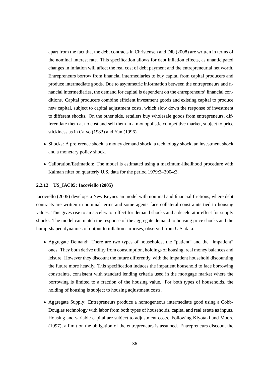apart from the fact that the debt contracts in Christensen and Dib (2008) are written in terms of the nominal interest rate. This specification allows for debt inflation effects, as unanticipated changes in inflation will affect the real cost of debt payment and the entrepreneurial net worth. Entrepreneurs borrow from financial intermediaries to buy capital from capital producers and produce intermediate goods. Due to asymmetric information between the entrepreneurs and financial intermediaries, the demand for capital is dependent on the entrepreneurs' financial conditions. Capital producers combine efficient investment goods and existing capital to produce new capital, subject to capital adjustment costs, which slow down the response of investment to different shocks. On the other side, retailers buy wholesale goods from entrepreneurs, differentiate them at no cost and sell them in a monopolistic competitive market, subject to price stickiness as in Calvo (1983) and Yun (1996).

- Shocks: A preference shock, a money demand shock, a technology shock, an investment shock and a monetary policy shock.
- Calibration/Estimation: The model is estimated using a maximum-likelihood procedure with Kalman filter on quarterly U.S. data for the period 1979:3–2004:3.

#### **2.2.12 US\_IAC05: Iacoviello (2005)**

Iacoviello (2005) develops a New Keynesian model with nominal and financial frictions, where debt contracts are written in nominal terms and some agents face collateral constraints tied to housing values. This gives rise to an accelerator effect for demand shocks and a decelerator effect for supply shocks. The model can match the response of the aggregate demand to housing price shocks and the hump-shaped dynamics of output to inflation surprises, observed from U.S. data.

- Aggregate Demand: There are two types of households, the "patient" and the "impatient" ones. They both derive utility from consumption, holdings of housing, real money balances and leisure. However they discount the future differently, with the impatient household discounting the future more heavily. This specification induces the impatient household to face borrowing constraints, consistent with standard lending criteria used in the mortgage market where the borrowing is limited to a fraction of the housing value. For both types of households, the holding of housing is subject to housing adjustment costs.
- Aggregate Supply: Entrepreneurs produce a homogeneous intermediate good using a Cobb-Douglas technology with labor from both types of households, capital and real estate as inputs. Housing and variable capital are subject to adjustment costs. Following Kiyotaki and Moore (1997), a limit on the obligation of the entrepreneurs is assumed. Entrepreneurs discount the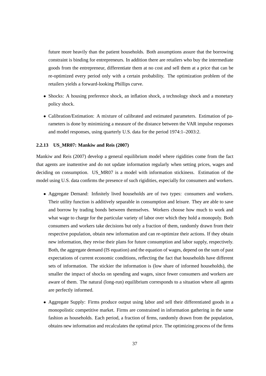future more heavily than the patient households. Both assumptions assure that the borrowing constraint is binding for entrepreneurs. In addition there are retailers who buy the intermediate goods from the entrepreneur, differentiate them at no cost and sell them at a price that can be re-optimized every period only with a certain probability. The optimization problem of the retailers yields a forward-looking Phillips curve.

- Shocks: A housing preference shock, an inflation shock, a technology shock and a monetary policy shock.
- Calibration/Estimation: A mixture of calibrated and estimated parameters. Estimation of parameters is done by minimizing a measure of the distance between the VAR impulse responses and model responses, using quarterly U.S. data for the period 1974:1–2003:2.

#### **2.2.13 US\_MR07: Mankiw and Reis (2007)**

Mankiw and Reis (2007) develop a general equilibrium model where rigidities come from the fact that agents are inattentive and do not update information regularly when setting prices, wages and deciding on consumption. US\_MR07 is a model with information stickiness. Estimation of the model using U.S. data confirms the presence of such rigidities, especially for consumers and workers.

- Aggregate Demand: Infinitely lived households are of two types: consumers and workers. Their utility function is additively separable in consumption and leisure. They are able to save and borrow by trading bonds between themselves. Workers choose how much to work and what wage to charge for the particular variety of labor over which they hold a monopoly. Both consumers and workers take decisions but only a fraction of them, randomly drawn from their respective population, obtain new information and can re-optimize their actions. If they obtain new information, they revise their plans for future consumption and labor supply, respectively. Both, the aggregate demand (IS equation) and the equation of wages, depend on the sum of past expectations of current economic conditions, reflecting the fact that households have different sets of information. The stickier the information is (low share of informed households), the smaller the impact of shocks on spending and wages, since fewer consumers and workers are aware of them. The natural (long-run) equilibrium corresponds to a situation where all agents are perfectly informed.
- Aggregate Supply: Firms produce output using labor and sell their differentiated goods in a monopolistic competitive market. Firms are constrained in information gathering in the same fashion as households. Each period, a fraction of firms, randomly drawn from the population, obtains new information and recalculates the optimal price. The optimizing process of the firms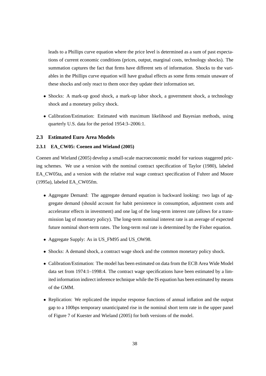leads to a Phillips curve equation where the price level is determined as a sum of past expectations of current economic conditions (prices, output, marginal costs, technology shocks). The summation captures the fact that firms have different sets of information. Shocks to the variables in the Phillips curve equation will have gradual effects as some firms remain unaware of these shocks and only react to them once they update their information set.

- Shocks: A mark-up good shock, a mark-up labor shock, a government shock, a technology shock and a monetary policy shock.
- Calibration/Estimation: Estimated with maximum likelihood and Bayesian methods, using quarterly U.S. data for the period 1954:3–2006:1.

#### **2.3 Estimated Euro Area Models**

#### **2.3.1 EA\_CW05: Coenen and Wieland (2005)**

Coenen and Wieland (2005) develop a small-scale macroeconomic model for various staggered pricing schemes. We use a version with the nominal contract specification of Taylor (1980), labeled EA\_CW05ta, and a version with the relative real wage contract specification of Fuhrer and Moore (1995a), labeled EA\_CW05fm.

- Aggregate Demand: The aggregate demand equation is backward looking: two lags of aggregate demand (should account for habit persistence in consumption, adjustment costs and accelerator effects in investment) and one lag of the long-term interest rate (allows for a transmission lag of monetary policy). The long-term nominal interest rate is an average of expected future nominal short-term rates. The long-term real rate is determined by the Fisher equation.
- Aggregate Supply: As in US\_FM95 and US\_OW98.
- Shocks: A demand shock, a contract wage shock and the common monetary policy shock.
- Calibration/Estimation: The model has been estimated on data from the ECB Area Wide Model data set from 1974:1–1998:4. The contract wage specifications have been estimated by a limited information indirect inference technique while the IS equation has been estimated by means of the GMM.
- Replication: We replicated the impulse response functions of annual inflation and the output gap to a 100bps temporary unanticipated rise in the nominal short term rate in the upper panel of Figure 7 of Kuester and Wieland (2005) for both versions of the model.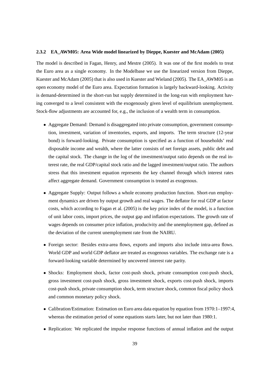#### **2.3.2 EA\_AWM05: Area Wide model linearized by Dieppe, Kuester and McAdam (2005)**

The model is described in Fagan, Henry, and Mestre (2005). It was one of the first models to treat the Euro area as a single economy. In the Modelbase we use the linearized version from Dieppe, Kuester and McAdam (2005) that is also used in Kuester and Wieland (2005). The EA\_AWM05 is an open economy model of the Euro area. Expectation formation is largely backward-looking. Activity is demand-determined in the short-run but supply determined in the long-run with employment having converged to a level consistent with the exogenously given level of equilibrium unemployment. Stock-flow adjustments are accounted for, e.g., the inclusion of a wealth term in consumption.

- Aggregate Demand: Demand is disaggregated into private consumption, government consumption, investment, variation of inventories, exports, and imports. The term structure (12-year bond) is forward-looking. Private consumption is specified as a function of households' real disposable income and wealth, where the latter consists of net foreign assets, public debt and the capital stock. The change in the log of the investment/output ratio depends on the real interest rate, the real GDP/capital stock ratio and the lagged investment/output ratio. The authors stress that this investment equation represents the key channel through which interest rates affect aggregate demand. Government consumption is treated as exogenous.
- Aggregate Supply: Output follows a whole economy production function. Short-run employment dynamics are driven by output growth and real wages. The deflator for real GDP at factor costs, which according to Fagan et al. (2005) is the key price index of the model, is a function of unit labor costs, import prices, the output gap and inflation expectations. The growth rate of wages depends on consumer price inflation, producivity and the unemployment gap, defined as the deviation of the current unemployment rate from the NAIRU.
- Foreign sector: Besides extra-area flows, exports and imports also include intra-area flows. World GDP and world GDP deflator are treated as exogenous variables. The exchange rate is a forward-looking variable determined by uncovered interest rate parity.
- Shocks: Employment shock, factor cost-push shock, private consumption cost-push shock, gross investment cost-push shock, gross investment shock, exports cost-push shock, imports cost-push shock, private consumption shock, term structure shock, common fiscal policy shock and common monetary policy shock.
- Calibration/Estimation: Estimation on Euro area data equation by equation from 1970:1–1997:4, whereas the estimation period of some equations starts later, but not later than 1980:1.
- Replication: We replicated the impulse response functions of annual inflation and the output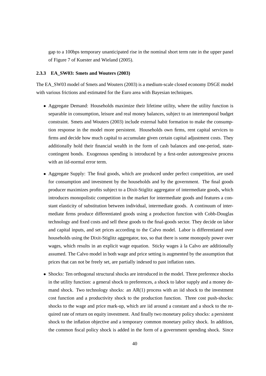gap to a 100bps temporary unanticipated rise in the nominal short term rate in the upper panel of Figure 7 of Kuester and Wieland (2005).

#### **2.3.3 EA\_SW03: Smets and Wouters (2003)**

The EA\_SW03 model of Smets and Wouters (2003) is a medium-scale closed economy DSGE model with various frictions and estimated for the Euro area with Bayesian techniques.

- Aggregate Demand: Households maximize their lifetime utility, where the utility function is separable in consumption, leisure and real money balances, subject to an intertemporal budget constraint. Smets and Wouters (2003) include external habit formation to make the consumption response in the model more persistent. Households own firms, rent capital services to firms and decide how much capital to accumulate given certain capital adjustment costs. They additionally hold their financial wealth in the form of cash balances and one-period, statecontingent bonds. Exogenous spending is introduced by a first-order autoregressive process with an iid-normal error term.
- Aggregate Supply: The final goods, which are produced under perfect competition, are used for consumption and investment by the households and by the government. The final goods producer maximizes profits subject to a Dixit-Stiglitz aggregator of intermediate goods, which introduces monopolistic competition in the market for intermediate goods and features a constant elasticity of substitution between individual, intermediate goods. A continuum of intermediate firms produce differentiated goods using a production function with Cobb-Douglas technology and fixed costs and sell these goods to the final-goods sector. They decide on labor and capital inputs, and set prices according to the Calvo model. Labor is differentiated over households using the Dixit-Stiglitz aggregator, too, so that there is some monopoly power over wages, which results in an explicit wage equation. Sticky wages à la Calvo are additionally assumed. The Calvo model in both wage and price setting is augmented by the assumption that prices that can not be freely set, are partially indexed to past inflation rates.
- Shocks: Ten orthogonal structural shocks are introduced in the model. Three preference shocks in the utility function: a general shock to preferences, a shock to labor supply and a money demand shock. Two technology shocks: an  $AR(1)$  process with an iid shock to the investment cost function and a productivity shock to the production function. Three cost push-shocks: shocks to the wage and price mark-up, which are iid around a constant and a shock to the required rate of return on equity investment. And finally two monetary policy shocks: a persistent shock to the inflation objective and a temporary common monetary policy shock. In addition, the common fiscal policy shock is added in the form of a government spending shock. Since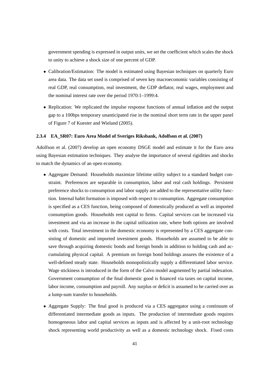government spending is expressed in output units, we set the coefficient which scales the shock to unity to achieve a shock size of one percent of GDP.

- Calibration/Estimation: The model is estimated using Bayesian techniques on quarterly Euro area data. The data set used is comprised of seven key macroeconomic variables consisting of real GDP, real consumption, real investment, the GDP deflator, real wages, employment and the nominal interest rate over the period 1970:1–1999:4.
- Replication: We replicated the impulse response functions of annual inflation and the output gap to a 100bps temporary unanticipated rise in the nominal short term rate in the upper panel of Figure 7 of Kuester and Wieland (2005).

#### **2.3.4 EA\_SR07: Euro Area Model of Sveriges Riksbank, Adolfson et al. (2007)**

Adolfson et al. (2007) develop an open economy DSGE model and estimate it for the Euro area using Bayesian estimation techniques. They analyse the importance of several rigidities and shocks to match the dynamics of an open economy.

- Aggregate Demand: Households maximize lifetime utility subject to a standard budget constraint. Preferences are separable in consumption, labor and real cash holdings. Persistent preference shocks to consumption and labor supply are added to the representative utility function. Internal habit formation is imposed with respect to consumption. Aggregate consumption is specified as a CES function, being composed of domestically produced as well as imported consumption goods. Households rent capital to firms. Capital services can be increased via investment and via an increase in the capital utilization rate, where both options are involved with costs. Total investment in the domestic economy is represented by a CES aggregate consisting of domestic and imported investment goods. Households are assumed to be able to save through acquiring domestic bonds and foreign bonds in addition to holding cash and accumulating physical capital. A premium on foreign bond holdings assures the existence of a well-defined steady state. Households monopolistically supply a differentiated labor service. Wage stickiness is introduced in the form of the Calvo model augmented by partial indexation. Government consumption of the final domestic good is financed via taxes on capital income, labor income, consumption and payroll. Any surplus or deficit is assumed to be carried over as a lump-sum transfer to households.
- Aggregate Supply: The final good is produced via a CES aggregator using a continuum of differentiated intermediate goods as inputs. The production of intermediate goods requires homogeneous labor and capital services as inputs and is affected by a unit-root technology shock representing world productivity as well as a domestic technology shock. Fixed costs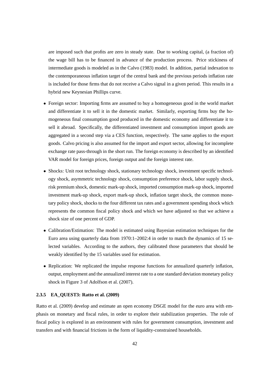are imposed such that profits are zero in steady state. Due to working capital, (a fraction of) the wage bill has to be financed in advance of the production process. Price stickiness of intermediate goods is modeled as in the Calvo (1983) model. In addition, partial indexation to the contemporaneous inflation target of the central bank and the previous periods inflation rate is included for those firms that do not receive a Calvo signal in a given period. This results in a hybrid new Keynesian Phillips curve.

- Foreign sector: Importing firms are assumed to buy a homogeneous good in the world market and differentiate it to sell it in the domestic market. Similarly, exporting firms buy the homogeneous final consumption good produced in the domestic economy and differentiate it to sell it abroad. Specifically, the differentiated investment and consumption import goods are aggregated in a second step via a CES function, respectively. The same applies to the export goods. Calvo pricing is also assumed for the import and export sector, allowing for incomplete exchange rate pass-through in the short run. The foreign economy is described by an identified VAR model for foreign prices, foreign output and the foreign interest rate.
- Shocks: Unit root technology shock, stationary technology shock, investment specific technology shock, asymmetric technology shock, consumption preference shock, labor supply shock, risk premium shock, domestic mark-up shock, imported consumption mark-up shock, imported investment mark-up shock, export mark-up shock, inflation target shock, the common monetary policy shock, shocks to the four different tax rates and a government spending shock which represents the common fiscal policy shock and which we have adjusted so that we achieve a shock size of one percent of GDP.
- Calibration/Estimation: The model is estimated using Bayesian estimation techniques for the Euro area using quarterly data from 1970:1–2002:4 in order to match the dynamics of 15 selected variables. According to the authors, they calibrated those parameters that should be weakly identified by the 15 variables used for estimation.
- Replication: We replicated the impulse response functions for annualized quarterly inflation, output, employment and the annualized interest rate to a one standard deviation monetary policy shock in Figure 3 of Adolfson et al. (2007).

#### **2.3.5 EA\_QUEST3: Ratto et al. (2009)**

Ratto et al. (2009) develop and estimate an open economy DSGE model for the euro area with emphasis on monetary and fiscal rules, in order to explore their stabilization properties. The role of fiscal policy is explored in an environment with rules for government consumption, investment and transfers and with financial frictions in the form of liquidity-constrained households.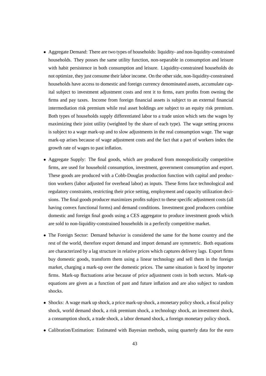- Aggregate Demand: There are two types of households: liquidity- and non-liquidity-constrained households. They posses the same utility function, non-separable in consumption and leisure with habit persistence in both consumption and leisure. Liquidity-constrained households do not optimize, they just consume their labor income. On the other side, non-liquidity-constrained households have access to domestic and foreign currency denominated assets, accumulate capital subject to investment adjustment costs and rent it to firms, earn profits from owning the firms and pay taxes. Income from foreign financial assets is subject to an external financial intermediation risk premium while real asset holdings are subject to an equity risk premium. Both types of households supply differentiated labor to a trade union which sets the wages by maximizing their joint utility (weighted by the share of each type). The wage setting process is subject to a wage mark-up and to slow adjustments in the real consumption wage. The wage mark-up arises because of wage adjustment costs and the fact that a part of workers index the growth rate of wages to past inflation.
- Aggregate Supply: The final goods, which are produced from monopolistically competitive firms, are used for household consumption, investment, government consumption and export. These goods are produced with a Cobb-Douglas production function with capital and production workers (labor adjusted for overhead labor) as inputs. These firms face technological and regulatory constraints, restricting their price setting, employment and capacity utilization decisions. The final goods producer maximizes profits subject to these specific adjustment costs (all having convex functional forms) and demand conditions. Investment good producers combine domestic and foreign final goods using a CES aggregator to produce investment goods which are sold to non-liquidity-constrained households in a perfectly competitive market.
- The Foreign Sector: Demand behavior is considered the same for the home country and the rest of the world, therefore export demand and import demand are symmetric. Both equations are characterized by a lag structure in relative prices which captures delivery lags. Export firms buy domestic goods, transform them using a linear technology and sell them in the foreign market, charging a mark-up over the domestic prices. The same situation is faced by importer firms. Mark-up fluctuations arise because of price adjustment costs in both sectors. Mark-up equations are given as a function of past and future inflation and are also subject to random shocks.
- Shocks: A wage mark up shock, a price mark-up shock, a monetary policy shock, a fiscal policy shock, world demand shock, a risk premium shock, a technology shock, an investment shock, a consumption shock, a trade shock, a labor demand shock, a foreign monetary policy shock.
- Calibration/Estimation: Estimated with Bayesian methods, using quarterly data for the euro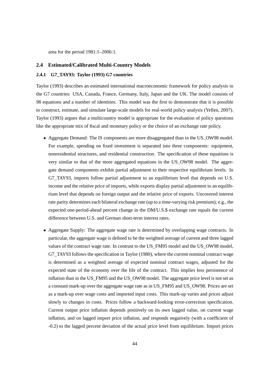area for the period 1981:1–2006:1.

#### **2.4 Estimated/Calibrated Multi-Country Models**

#### **2.4.1 G7\_TAY93: Taylor (1993) G7 countries**

Taylor (1993) describes an estimated international macroeconomic framework for policy analysis in the G7 countries: USA, Canada, France, Germany, Italy, Japan and the UK. The model consists of 98 equations and a number of identities. This model was the first to demonstrate that it is possible to construct, estimate, and simulate large-scale models for real-world policy analysis (Yellen, 2007). Taylor (1993) argues that a multicountry model is appropriate for the evaluation of policy questions like the appropriate mix of fiscal and monetary policy or the choice of an exchange rate policy.

- Aggregate Demand: The IS components are more disaggregated than in the US\_OW98 model. For example, spending on fixed investment is separated into three components: equipment, nonresidential structures, and residential construction. The specification of these equations is very similar to that of the more aggregated equations in the US\_OW98 model. The aggregate demand components exhibit partial adjustment to their respective equilibrium levels. In G7\_TAY93, imports follow partial adjustment to an equilibrium level that depends on U.S. income and the relative price of imports, while exports display partial adjustment to an equilibrium level that depends on foreign output and the relative price of exports. Uncovered interest rate parity determines each bilateral exchange rate (up to a time-varying risk premium); e.g., the expected one-period-ahead percent change in the DM/U.S.\$ exchange rate equals the current difference between U.S. and German short-term interest rates.
- Aggregate Supply: The aggregate wage rate is determined by overlapping wage contracts. In particular, the aggregate wage is defined to be the weighted average of current and three lagged values of the contract wage rate. In contrast to the US\_FM95 model and the US\_OW98 model, G7\_TAY93 follows the specification in Taylor (1980), where the current nominal contract wage is determined as a weighted average of expected nominal contract wages, adjusted for the expected state of the economy over the life of the contract. This implies less persistence of inflation than in the US FM95 and the US OW98 model. The aggregate price level is not set as a constant mark-up over the aggregate wage rate as in US\_FM95 and US\_OW98. Prices are set as a mark-up over wage costs and imported input costs. This mark-up varies and prices adjust slowly to changes in costs. Prices follow a backward-looking error-correction specification. Current output price inflation depends positively on its own lagged value, on current wage inflation, and on lagged import price inflation, and responds negatively (with a coefficient of -0.2) to the lagged percent deviation of the actual price level from equilibrium. Import prices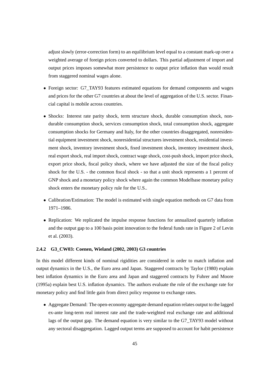adjust slowly (error-correction form) to an equilibrium level equal to a constant mark-up over a weighted average of foreign prices converted to dollars. This partial adjustment of import and output prices imposes somewhat more persistence to output price inflation than would result from staggered nominal wages alone.

- Foreign sector: G7\_TAY93 features estimated equations for demand components and wages and prices for the other G7 countries at about the level of aggregation of the U.S. sector. Financial capital is mobile across countries.
- Shocks: Interest rate parity shock, term structure shock, durable consumption shock, nondurable consumption shock, services consumption shock, total consumption shock, aggregate consumption shocks for Germany and Italy, for the other countries disaggregated, nonresidential equipment investment shock, nonresidential structures investment shock, residential investment shock, inventory investment shock, fixed investment shock, inventory investment shock, real export shock, real import shock, contract wage shock, cost-push shock, import price shock, export price shock, fiscal policy shock, where we have adjusted the size of the fiscal policy shock for the U.S. - the common fiscal shock - so that a unit shock represents a 1 percent of GNP shock and a monetary policy shock where again the common Modelbase monetary policy shock enters the monetary policy rule for the U.S..
- Calibration/Estimation: The model is estimated with single equation methods on G7 data from 1971–1986.
- Replication: We replicated the impulse response functions for annualized quarterly inflation and the output gap to a 100 basis point innovation to the federal funds rate in Figure 2 of Levin et al. (2003).

#### **2.4.2 G3\_CW03: Coenen, Wieland (2002, 2003) G3 countries**

In this model different kinds of nominal rigidities are considered in order to match inflation and output dynamics in the U.S., the Euro area and Japan. Staggered contracts by Taylor (1980) explain best inflation dynamics in the Euro area and Japan and staggered contracts by Fuhrer and Moore (1995a) explain best U.S. inflation dynamics. The authors evaluate the role of the exchange rate for monetary policy and find little gain from direct policy response to exchange rates.

• Aggregate Demand: The open-economy aggregate demand equation relates output to the lagged ex-ante long-term real interest rate and the trade-weighted real exchange rate and additional lags of the output gap. The demand equation is very similar to the G7 TAY93 model without any sectoral disaggregation. Lagged output terms are supposed to account for habit persistence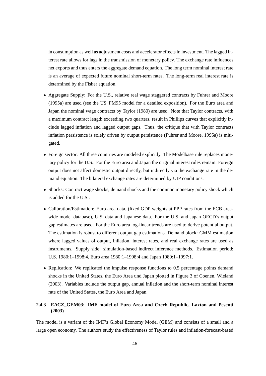in consumption as well as adjustment costs and accelerator effects in investment. The lagged interest rate allows for lags in the transmission of monetary policy. The exchange rate influences net exports and thus enters the aggregate demand equation. The long term nominal interest rate is an average of expected future nominal short-term rates. The long-term real interest rate is determined by the Fisher equation.

- Aggregate Supply: For the U.S., relative real wage staggered contracts by Fuhrer and Moore (1995a) are used (see the US\_FM95 model for a detailed exposition). For the Euro area and Japan the nominal wage contracts by Taylor (1980) are used. Note that Taylor contracts, with a maximum contract length exceeding two quarters, result in Phillips curves that explicitly include lagged inflation and lagged output gaps. Thus, the critique that with Taylor contracts inflation persistence is solely driven by output persistence (Fuhrer and Moore, 1995a) is mitigated.
- Foreign sector: All three countries are modeled explicitly. The Modelbase rule replaces monetary policy for the U.S.. For the Euro area and Japan the original interest rules remain. Foreign output does not affect domestic output directly, but indirectly via the exchange rate in the demand equation. The bilateral exchange rates are determined by UIP conditions.
- Shocks: Contract wage shocks, demand shocks and the common monetary policy shock which is added for the U.S..
- Calibration/Estimation: Euro area data, (fixed GDP weights at PPP rates from the ECB areawide model database), U.S. data and Japanese data. For the U.S. and Japan OECD's output gap estimates are used. For the Euro area log-linear trends are used to derive potential output. The estimation is robust to different output gap estimations. Demand block: GMM estimation where lagged values of output, inflation, interest rates, and real exchange rates are used as instruments. Supply side: simulation-based indirect inference methods. Estimation period: U.S. 1980:1–1998:4, Euro area 1980:1–1998:4 and Japan 1980:1–1997:1.
- Replication: We replicated the impulse response functions to 0.5 percentage points demand shocks in the United States, the Euro Area und Japan plotted in Figure 3 of Coenen, Wieland (2003). Variables include the output gap, annual inflation and the short-term nominal interest rate of the United States, the Euro Area and Japan.

### **2.4.3 EACZ\_GEM03: IMF model of Euro Area and Czech Republic, Laxton and Pesenti (2003)**

The model is a variant of the IMF's Global Economy Model (GEM) and consists of a small and a large open economy. The authors study the effectiveness of Taylor rules and inflation-forecast-based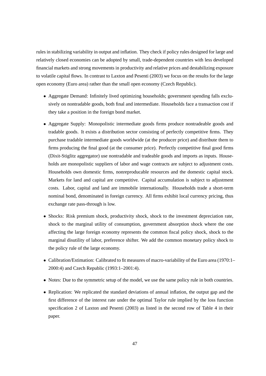rules in stabilizing variability in output and inflation. They check if policy rules designed for large and relatively closed economies can be adopted by small, trade-dependent countries with less developed financial markets and strong movements in productivity and relative prices and destabilizing exposure to volatile capital flows. In contrast to Laxton and Pesenti (2003) we focus on the results for the large open economy (Euro area) rather than the small open economy (Czech Republic).

- Aggregate Demand: Infinitely lived optimizing households; government spending falls exclusively on nontradable goods, both final and intermediate. Households face a transaction cost if they take a position in the foreign bond market.
- Aggregate Supply: Monopolistic intermediate goods firms produce nontradeable goods and tradable goods. It exists a distribution sector consisting of perfectly competitive firms. They purchase tradable intermediate goods worldwide (at the producer price) and distribute them to firms producing the final good (at the consumer price). Perfectly competitive final good firms (Dixit-Stiglitz aggregator) use nontradable and tradeable goods and imports as inputs. Households are monopolistic suppliers of labor and wage contracts are subject to adjustment costs. Households own domestic firms, nonreproducable resources and the domestic capital stock. Markets for land and capital are competitive. Capital accumulation is subject to adjustment costs. Labor, capital and land are immobile internationally. Households trade a short-term nominal bond, denominated in foreign currency. All firms exhibit local currency pricing, thus exchange rate pass-through is low.
- Shocks: Risk premium shock, productivity shock, shock to the investment depreciation rate, shock to the marginal utility of consumption, government absorption shock where the one affecting the large foreign economy represents the common fiscal policy shock, shock to the marginal disutility of labor, preference shifter. We add the common monetary policy shock to the policy rule of the large economy.
- Calibration/Estimation: Calibrated to fit measures of macro-variability of the Euro area (1970:1– 2000:4) and Czech Republic (1993:1–2001:4).
- Notes: Due to the symmetric setup of the model, we use the same policy rule in both countries.
- Replication: We replicated the standard deviations of annual inflation, the output gap and the first difference of the interest rate under the optimal Taylor rule implied by the loss function specification 2 of Laxton and Pesenti (2003) as listed in the second row of Table 4 in their paper.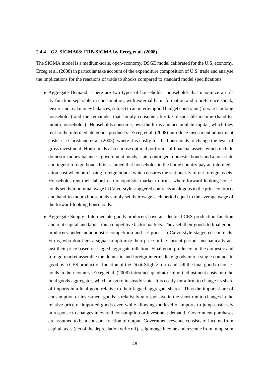#### **2.4.4 G2\_SIGMA08: FRB-SIGMA by Erceg et al. (2008)**

The SIGMA model is a medium-scale, open-economy, DSGE model calibrated for the U.S. economy. Erceg et al. (2008) in particular take account of the expenditure composition of U.S. trade and analyse the implications for the reactions of trade to shocks compared to standard model specifications.

- Aggregate Demand: There are two types of households: households that maximize a utility function separable in consumption, with external habit formation and a preference shock, leisure and real money balances, subject to an intertemporal budget constraint (forward-looking households) and the remainder that simply consume after-tax disposable income (hand-tomouth households). Households consume, own the firms and accumulate capital, which they rent to the intermediate goods producers. Erceg et al. (2008) introduce investment adjustment costs a la Christiano et al. (2005), where it is costly for the households to change the level of gross investment. Households also choose optimal portfolios of financial assets, which include domestic money balances, government bonds, state-contingent domestic bonds and a non-state contingent foreign bond. It is assumed that households in the home country pay an intermediation cost when purchasing foreign bonds, which ensures the stationarity of net foreign assets. Households rent their labor in a monopolistic market to firms, where forward-looking households set their nominal wage in Calvo-style staggered contracts analogous to the price contracts and hand-to-mouth households simply set their wage each period equal to the average wage of the forward-looking households.
- Aggregate Supply: Intermediate-goods producers have an identical CES production function and rent capital and labor from competitive factor markets. They sell their goods to final goods producers under monopolistic competition and set prices in Calvo-style staggered contracts. Firms, who don't get a signal to optimize their price in the current period, mechanically adjust their price based on lagged aggregate inflation. Final good producers in the domestic and foreign market assemble the domestic and foreign intermediate goods into a single composite good by a CES production function of the Dixit-Stiglitz form and sell the final good to households in their country. Erceg et al. (2008) introduce quadratic import adjustment costs into the final goods aggregator, which are zero in steady state. It is costly for a firm to change its share of imports in a final good relative to their lagged aggregate shares. Thus the import share of consumption or investment goods is relatively unresponsive in the short-run to changes in the relative price of imported goods even while allowing the level of imports to jump costlessly in response to changes in overall consumption or investment demand. Government purchases are assumed to be a constant fraction of output. Government revenue consists of income from capital taxes (net of the depreciation write off), seignorage income and revenue from lump-sum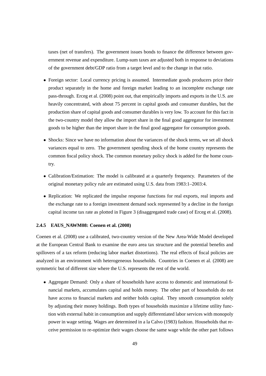taxes (net of transfers). The government issues bonds to finance the difference between government revenue and expenditure. Lump-sum taxes are adjusted both in response to deviations of the government debt/GDP ratio from a target level and to the change in that ratio.

- Foreign sector: Local currency pricing is assumed. Intermediate goods producers price their product separately in the home and foreign market leading to an incomplete exchange rate pass-through. Erceg et al. (2008) point out, that empirically imports and exports in the U.S. are heavily concentrated, with about 75 percent in capital goods and consumer durables, but the production share of capital goods and consumer durables is very low. To account for this fact in the two-country model they allow the import share in the final good aggregator for investment goods to be higher than the import share in the final good aggregator for consumption goods.
- Shocks: Since we have no information about the variances of the shock terms, we set all shock variances equal to zero. The government spending shock of the home country represents the common fiscal policy shock. The common monetary policy shock is added for the home country.
- Calibration/Estimation: The model is calibrated at a quarterly frequency. Parameters of the original monetary policy rule are estimated using U.S. data from 1983:1–2003:4.
- Replication: We replicated the impulse response functions for real exports, real imports and the exchange rate to a foreign investment demand sock represented by a decline in the foreign capital income tax rate as plotted in Figure 3 (disaggregated trade case) of Erceg et al. (2008).

#### **2.4.5 EAUS\_NAWM08: Coenen et al. (2008)**

Coenen et al. (2008) use a calibrated, two-country version of the New Area-Wide Model developed at the European Central Bank to examine the euro area tax structure and the potential benefits and spillovers of a tax reform (reducing labor market distortions). The real effects of fiscal policies are analyzed in an environment with heterogeneous households. Countries in Coenen et al. (2008) are symmetric but of different size where the U.S. represents the rest of the world.

• Aggregate Demand: Only a share of households have access to domestic and international financial markets, accumulates capital and holds money. The other part of households do not have access to financial markets and neither holds capital. They smooth consumption solely by adjusting their money holdings. Both types of households maximize a lifetime utility function with external habit in consumption and supply differentiated labor services with monopoly power in wage setting. Wages are determined in a la Calvo (1983) fashion. Households that receive permission to re-optimize their wages choose the same wage while the other part follows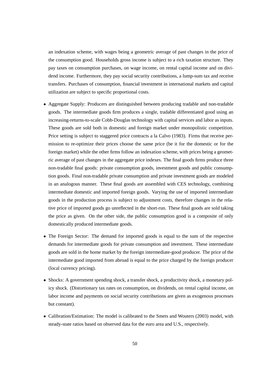an indexation scheme, with wages being a geometric average of past changes in the price of the consumption good. Households gross income is subject to a rich taxation structure. They pay taxes on consumption purchases, on wage income, on rental capital income and on dividend income. Furthermore, they pay social security contributions, a lump-sum tax and receive transfers. Purchases of consumption, financial investment in international markets and capital utilization are subject to specific proportional costs.

- Aggregate Supply: Producers are distinguished between producing tradable and non-tradable goods. The intermediate goods firm produces a single, tradable differentiated good using an increasing-returns-to-scale Cobb-Douglas technology with capital services and labor as inputs. These goods are sold both in domestic and foreign market under monopolistic competition. Price setting is subject to staggered price contracts a la Calvo (1983). Firms that receive permission to re-optimize their prices choose the same price (be it for the domestic or for the foreign market) while the other firms follow an indexation scheme, with prices being a geometric average of past changes in the aggregate price indexes. The final goods firms produce three non-tradable final goods: private consumption goods, investment goods and public consumption goods. Final non-tradable private consumption and private investment goods are modeled in an analogous manner. These final goods are assembled with CES technology, combining intermediate domestic and imported foreign goods. Varying the use of imported intermediate goods in the production process is subject to adjustment costs, therefore changes in the relative price of imported goods go unreflected in the short-run. These final goods are sold taking the price as given. On the other side, the public consumption good is a composite of only domestically produced intermediate goods.
- The Foreign Sector: The demand for imported goods is equal to the sum of the respective demands for intermediate goods for private consumption and investment. These intermediate goods are sold in the home market by the foreign intermediate-good producer. The price of the intermediate good imported from abroad is equal to the price charged by the foreign producer (local currency pricing).
- Shocks: A government spending shock, a transfer shock, a productivity shock, a monetary policy shock. (Distortionary tax rates on consumption, on dividends, on rental capital income, on labor income and payments on social security contributions are given as exogenous processes but constant).
- Calibration/Estimation: The model is calibrated to the Smets and Wouters (2003) model, with steady-state ratios based on observed data for the euro area and U.S., respectively.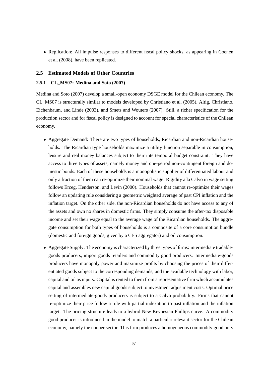• Replication: All impulse responses to different fiscal policy shocks, as appearing in Coenen et al. (2008), have been replicated.

#### **2.5 Estimated Models of Other Countries**

#### **2.5.1 CL\_MS07: Medina and Soto (2007)**

Medina and Soto (2007) develop a small-open economy DSGE model for the Chilean economy. The CL\_MS07 is structurally similar to models developed by Christiano et al. (2005), Altig, Christiano, Eichenbaum, and Linde (2003), and Smets and Wouters (2007). Still, a richer specification for the production sector and for fiscal policy is designed to account for special characteristics of the Chilean economy.

- Aggregate Demand: There are two types of households, Ricardian and non-Ricardian households. The Ricardian type households maximize a utility function separable in consumption, leisure and real money balances subject to their intertemporal budget constraint. They have access to three types of assets, namely money and one-period non-contingent foreign and domestic bonds. Each of these households is a monopolistic supplier of differentiated labour and only a fraction of them can re-optimize their nominal wage. Rigidity a la Calvo in wage setting follows Erceg, Henderson, and Levin (2000). Households that cannot re-optimize their wages follow an updating rule considering a geometric weighted average of past CPI inflation and the inflation target. On the other side, the non-Ricardian households do not have access to any of the assets and own no shares in domestic firms. They simply consume the after-tax disposable income and set their wage equal to the average wage of the Ricardian households. The aggregate consumption for both types of households is a composite of a core consumption bundle (domestic and foreign goods, given by a CES aggregator) and oil consumption.
- Aggregate Supply: The economy is characterized by three types of firms: intermediate tradablegoods producers, import goods retailers and commodity good producers. Intermediate-goods producers have monopoly power and maximize profits by choosing the prices of their differentiated goods subject to the corresponding demands, and the available technology with labor, capital and oil as inputs. Capital is rented to them from a representative firm which accumulates capital and assembles new capital goods subject to investment adjustment costs. Optimal price setting of intermediate-goods producers is subject to a Calvo probability. Firms that cannot re-optimize their price follow a rule with partial indexation to past inflation and the inflation target. The pricing structure leads to a hybrid New Keynesian Phillips curve. A commodity good producer is introduced in the model to match a particular relevant sector for the Chilean economy, namely the cooper sector. This firm produces a homogeneous commodity good only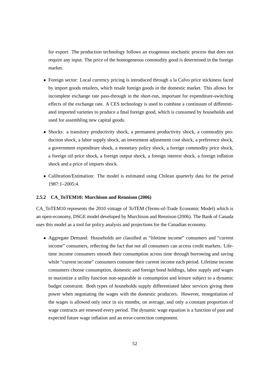for export. The production technology follows an exogenous stochastic process that does not require any input. The price of the homogeneous commodity good is determined in the foreign market.

- Foreign sector: Local currency pricing is introduced through a la Calvo price stickiness faced by import goods retailers, which resale foreign goods in the domestic market. This allows for incomplete exchange rate pass-through in the short-run, important for expenditure-switching effects of the exchange rate. A CES technology is used to combine a continuum of differentiated imported varieties to produce a final foreign good, which is consumed by households and used for assembling new capital goods.
- Shocks: a transitory productivity shock, a permanent productivity shock, a commodity production shock, a labor supply shock, an investment adjustment cost shock, a preference shock, a government expenditure shock, a monetary policy shock, a foreign commodity price shock, a foreign oil price shock, a foreign output shock, a foreign interest shock, a foreign inflation shock and a price of imports shock.
- Calibration/Estimation: The model is estimated using Chilean quarterly data for the period 1987:1–2005:4.

#### **2.5.2 CA\_ToTEM10: Murchison and Rennison (2006)**

CA\_ToTEM10 represents the 2010 vintage of ToTEM (Terms-of-Trade Economic Model) which is an open-economy, DSGE model developed by Murchison and Rennison (2006). The Bank of Canada uses this model as a tool for policy analysis and projections for the Canadian economy.

• Aggregate Demand: Households are classified as "lifetime income" consumers and "current income" consumers, reflecting the fact that not all consumers can access credit markets. Lifetime income consumers smooth their consumption across time through borrowing and saving while "current income" consumers consume their current income each period. Lifetime income consumers choose consumption, domestic and foreign bond holdings, labor supply and wages to maximize a utility function non-separable in consumption and leisure subject to a dynamic budget constraint. Both types of households supply differentiated labor services giving them power when negotiating the wages with the domestic producers. However, renegotiation of the wages is allowed only once in six months, on average, and only a constant proportion of wage contracts are renewed every period. The dynamic wage equation is a function of past and expected future wage inflation and an error-correction component.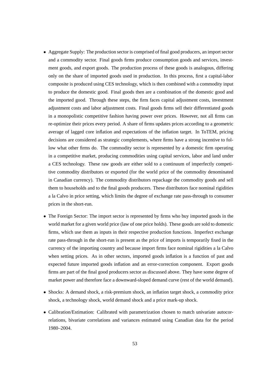- Aggregate Supply: The production sector is comprised of final good producers, an import sector and a commodity sector. Final goods firms produce consumption goods and services, investment goods, and export goods. The production process of these goods is analogous, differing only on the share of imported goods used in production. In this process, first a capital-labor composite is produced using CES technology, which is then combined with a commodity input to produce the domestic good. Final goods then are a combination of the domestic good and the imported good. Through these steps, the firm faces capital adjustment costs, investment adjustment costs and labor adjustment costs. Final goods firms sell their differentiated goods in a monopolistic competitive fashion having power over prices. However, not all firms can re-optimize their prices every period. A share of firms updates prices according to a geometric average of lagged core inflation and expectations of the inflation target. In ToTEM, pricing decisions are considered as strategic complements, where firms have a strong incentive to follow what other firms do. The commodity sector is represented by a domestic firm operating in a competitive market, producing commodities using capital services, labor and land under a CES technology. These raw goods are either sold to a continuum of imperfectly competitive commodity distributors or exported (for the world price of the commodity denominated in Canadian currency). The commodity distributors repackage the commodity goods and sell them to households and to the final goods producers. These distributors face nominal rigidities a la Calvo in price setting, which limits the degree of exchange rate pass-through to consumer prices in the short-run.
- The Foreign Sector: The import sector is represented by firms who buy imported goods in the world market for a given world price (law of one price holds). These goods are sold to domestic firms, which use them as inputs in their respective production functions. Imperfect exchange rate pass-through in the short-run is present as the price of imports is temporarily fixed in the currency of the importing country and because import firms face nominal rigidities a la Calvo when setting prices. As in other sectors, imported goods inflation is a function of past and expected future imported goods inflation and an error-correction component. Export goods firms are part of the final good producers sector as discussed above. They have some degree of market power and therefore face a downward-sloped demand curve (rest of the world demand).
- Shocks: A demand shock, a risk-premium shock, an inflation target shock, a commodity price shock, a technology shock, world demand shock and a price mark-up shock.
- Calibration/Estimation: Calibrated with parametrization chosen to match univariate autocorrelations, bivariate correlations and variances estimated using Canadian data for the period 1980–2004.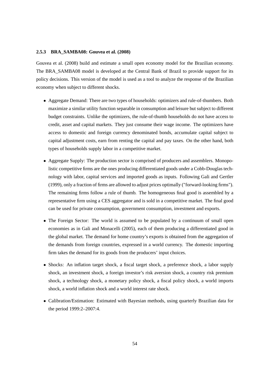#### **2.5.3 BRA\_SAMBA08: Gouvea et al. (2008)**

Gouvea et al. (2008) build and estimate a small open economy model for the Brazilian economy. The BRA\_SAMBA08 model is developed at the Central Bank of Brazil to provide support for its policy decisions. This version of the model is used as a tool to analyze the response of the Brazilian economy when subject to different shocks.

- Aggregate Demand: There are two types of households: optimizers and rule-of-thumbers. Both maximize a similar utility function separable in consumption and leisure but subject to different budget constraints. Unlike the optimizers, the rule-of-thumb households do not have access to credit, asset and capital markets. They just consume their wage income. The optimizers have access to domestic and foreign currency denominated bonds, accumulate capital subject to capital adjustment costs, earn from renting the capital and pay taxes. On the other hand, both types of households supply labor in a competitive market.
- Aggregate Supply: The production sector is comprised of producers and assemblers. Monopolistic competitive firms are the ones producing differentiated goods under a Cobb-Douglas technology with labor, capital services and imported goods as inputs. Following Gali and Gertler (1999), only a fraction of firms are allowed to adjust prices optimally ("forward-looking firms"). The remaining firms follow a rule of thumb. The homogeneous final good is assembled by a representative firm using a CES aggregator and is sold in a competitive market. The final good can be used for private consumption, government consumption, investment and exports.
- The Foreign Sector: The world is assumed to be populated by a continuum of small open economies as in Gali and Monacelli (2005), each of them producing a differentiated good in the global market. The demand for home country's exports is obtained from the aggregation of the demands from foreign countries, expressed in a world currency. The domestic importing firm takes the demand for its goods from the producers' input choices.
- Shocks: An inflation target shock, a fiscal target shock, a preference shock, a labor supply shock, an investment shock, a foreign investor's risk aversion shock, a country risk premium shock, a technology shock, a monetary policy shock, a fiscal policy shock, a world imports shock, a world inflation shock and a world interest rate shock.
- Calibration/Estimation: Estimated with Bayesian methods, using quarterly Brazilian data for the period 1999:2–2007:4.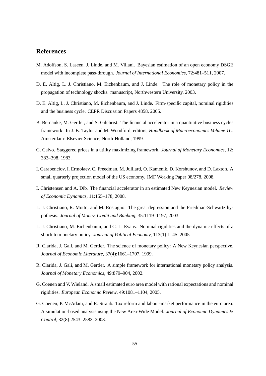## **References**

- M. Adolfson, S. Laseen, J. Linde, and M. Villani. Bayesian estimation of an open economy DSGE model with incomplete pass-through. *Journal of International Economics*, 72:481–511, 2007.
- D. E. Altig, L. J. Christiano, M. Eichenbaum, and J. Linde. The role of monetary policy in the propagation of technology shocks. manuscript, Northwestern University, 2003.
- D. E. Altig, L. J. Christiano, M. Eichenbaum, and J. Linde. Firm-specific capital, nominal rigidities and the business cycle. CEPR Discussion Papers 4858, 2005.
- B. Bernanke, M. Gertler, and S. Gilchrist. The financial accelerator in a quantitative business cycles framework. In J. B. Taylor and M. Woodford, editors, *Handbook of Macroeconomics Volume 1C*. Amsterdam: Elsevier Science, North-Holland, 1999.
- G. Calvo. Staggered prices in a utility maximizing framework. *Journal of Monetary Economics*, 12: 383–398, 1983.
- I. Carabenciov, I. Ermolaev, C. Freedman, M. Juillard, O. Kamenik, D. Korshunov, and D. Laxton. A small quarterly projection model of the US economy. IMF Working Paper 08/278, 2008.
- I. Christensen and A. Dib. The financial accelerator in an estimated New Keynesian model. *Review of Economic Dynamics*, 11:155–178, 2008.
- L. J. Christiano, R. Motto, and M. Rostagno. The great depression and the Friedman-Schwartz hypothesis. *Journal of Money, Credit and Banking*, 35:1119–1197, 2003.
- L. J. Christiano, M. Eichenbaum, and C. L. Evans. Nominal rigidities and the dynamic effects of a shock to monetary policy. *Journal of Political Economy*, 113(1):1–45, 2005.
- R. Clarida, J. Gali, and M. Gertler. The science of monetary policy: A New Keynesian perspective. *Journal of Economic Literature*, 37(4):1661–1707, 1999.
- R. Clarida, J. Gali, and M. Gertler. A simple framework for international monetary policy analysis. *Journal of Monetary Economics*, 49:879–904, 2002.
- G. Coenen and V. Wieland. A small estimated euro area model with rational expectations and nominal rigidities. *European Economic Review*, 49:1081–1104, 2005.
- G. Coenen, P. McAdam, and R. Straub. Tax reform and labour-market performance in the euro area: A simulation-based analysis using the New Area-Wide Model. *Journal of Economic Dynamics & Control*, 32(8):2543–2583, 2008.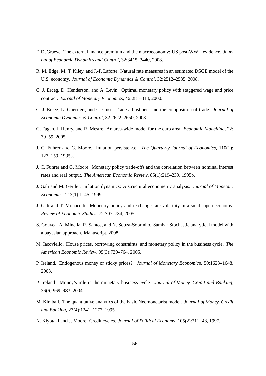- F. DeGraeve. The external finance premium and the macroeconomy: US post-WWII evidence. *Journal of Economic Dynamics and Control*, 32:3415–3440, 2008.
- R. M. Edge, M. T. Kiley, and J.-P. Laforte. Natural rate measures in an estimated DSGE model of the U.S. economy. *Journal of Economic Dynamics & Control*, 32:2512–2535, 2008.
- C. J. Erceg, D. Henderson, and A. Levin. Optimal monetary policy with staggered wage and price contract. *Journal of Monetary Economics*, 46:281–313, 2000.
- C. J. Erceg, L. Guerrieri, and C. Gust. Trade adjustment and the composition of trade. *Journal of Economic Dynamics & Control*, 32:2622–2650, 2008.
- G. Fagan, J. Henry, and R. Mestre. An area-wide model for the euro area. *Economic Modelling*, 22: 39–59, 2005.
- J. C. Fuhrer and G. Moore. Inflation persistence. *The Quarterly Journal of Economics*, 110(1): 127–159, 1995a.
- J. C. Fuhrer and G. Moore. Monetary policy trade-offs and the correlation between nominal interest rates and real output. *The American Economic Review*, 85(1):219–239, 1995b.
- J. Gali and M. Gertler. Inflation dynamics: A structural econometric analysis. *Journal of Monetary Economics*, 113(1):1–45, 1999.
- J. Gali and T. Monacelli. Monetary policy and exchange rate volatility in a small open economy. *Review of Economic Studies*, 72:707–734, 2005.
- S. Gouvea, A. Minella, R. Santos, and N. Souza-Sobrinho. Samba: Stochastic analytical model with a bayesian approach. Manuscript, 2008.
- M. Iacoviello. House prices, borrowing constraints, and monetary policy in the business cycle. *The American Economic Review*, 95(3):739–764, 2005.
- P. Ireland. Endogenous money or sticky prices? *Journal of Monetary Economics*, 50:1623–1648, 2003.
- P. Ireland. Money's role in the monetary business cycle. *Journal of Money, Credit and Banking*, 36(6):969–983, 2004.
- M. Kimball. The quantitative analytics of the basic Neomonetarist model. *Journal of Money, Credit and Banking*, 27(4):1241–1277, 1995.
- N. Kiyotaki and J. Moore. Credit cycles. *Journal of Political Economy*, 105(2):211–48, 1997.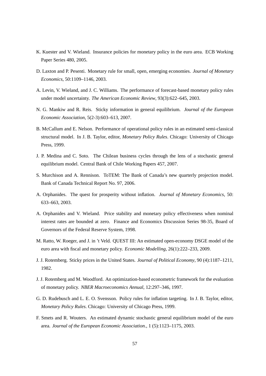- K. Kuester and V. Wieland. Insurance policies for monetary policy in the euro area. ECB Working Paper Series 480, 2005.
- D. Laxton and P. Pesenti. Monetary rule for small, open, emerging economies. *Journal of Monetary Economics*, 50:1109–1146, 2003.
- A. Levin, V. Wieland, and J. C. Williams. The performance of forecast-based monetary policy rules under model uncertainty. *The American Economic Review*, 93(3):622–645, 2003.
- N. G. Mankiw and R. Reis. Sticky information in general equilibrium. *Journal of the European Economic Association*, 5(2-3):603–613, 2007.
- B. McCallum and E. Nelson. Performance of operational policy rules in an estimated semi-classical structural model. In J. B. Taylor, editor, *Monetary Policy Rules*. Chicago: University of Chicago Press, 1999.
- J. P. Medina and C. Soto. The Chilean business cycles through the lens of a stochastic general equilibrium model. Central Bank of Chile Working Papers 457, 2007.
- S. Murchison and A. Rennison. ToTEM: The Bank of Canada's new quarterly projection model. Bank of Canada Technical Report No. 97, 2006.
- A. Orphanides. The quest for prosperity without inflation. *Journal of Monetary Economics*, 50: 633–663, 2003.
- A. Orphanides and V. Wieland. Price stability and monetary policy effectiveness when nominal interest rates are bounded at zero. Finance and Economics Discussion Series 98-35, Board of Governors of the Federal Reserve System, 1998.
- M. Ratto, W. Roeger, and J. in 't Veld. QUEST III: An estimated open-economy DSGE model of the euro area with fiscal and monetary policy. *Economic Modelling*, 26(1):222–233, 2009.
- J. J. Rotemberg. Sticky prices in the United States. *Journal of Political Economy*, 90 (4):1187–1211, 1982.
- J. J. Rotemberg and M. Woodford. An optimization-based econometric framework for the evaluation of monetary policy. *NBER Macroeconomics Annual*, 12:297–346, 1997.
- G. D. Rudebusch and L. E. O. Svensson. Policy rules for inflation targeting. In J. B. Taylor, editor, *Monetary Policy Rules*. Chicago: University of Chicago Press, 1999.
- F. Smets and R. Wouters. An estimated dynamic stochastic general equilibrium model of the euro area. *Journal of the European Economic Association.*, 1 (5):1123–1175, 2003.